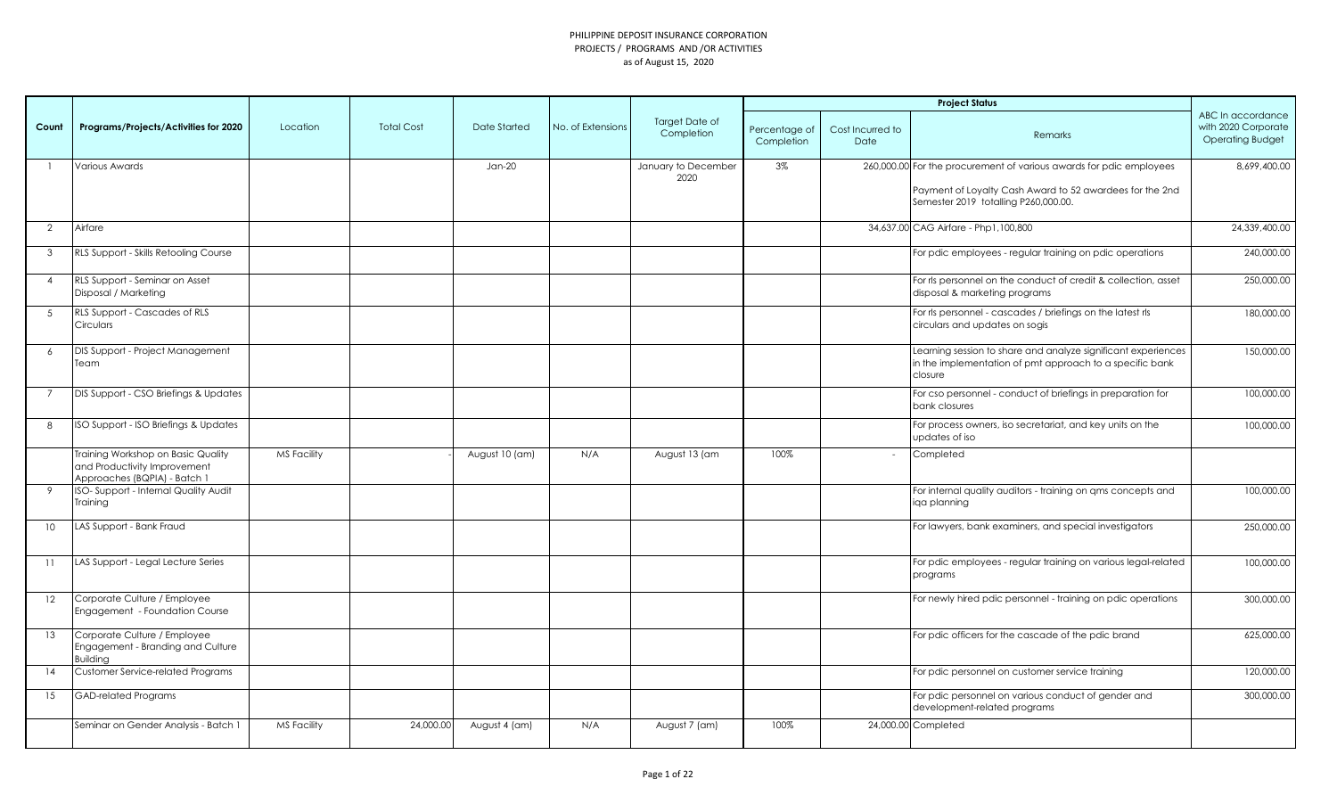|                 |                                                                                                    |                    |                   |                |                   |                                     |                             |                          | <b>Project Status</b>                                                                                                                |                                                                     |
|-----------------|----------------------------------------------------------------------------------------------------|--------------------|-------------------|----------------|-------------------|-------------------------------------|-----------------------------|--------------------------|--------------------------------------------------------------------------------------------------------------------------------------|---------------------------------------------------------------------|
| Count           | Programs/Projects/Activities for 2020                                                              | Location           | <b>Total Cost</b> | Date Started   | No. of Extensions | <b>Target Date of</b><br>Completion | Percentage of<br>Completion | Cost Incurred to<br>Date | Remarks                                                                                                                              | ABC In accordance<br>with 2020 Corporate<br><b>Operating Budget</b> |
|                 | <b>Various Awards</b>                                                                              |                    |                   | $Jan-20$       |                   | January to December                 | 3%                          |                          | 260,000.00 For the procurement of various awards for pdic employees                                                                  | 8,699,400.00                                                        |
|                 |                                                                                                    |                    |                   |                |                   | 2020                                |                             |                          | Payment of Loyalty Cash Award to 52 awardees for the 2nd<br>Semester 2019 totalling P260,000.00.                                     |                                                                     |
| 2               | Airfare                                                                                            |                    |                   |                |                   |                                     |                             |                          | 34,637.00 CAG Airfare - Php1,100,800                                                                                                 | 24,339,400.00                                                       |
| $\mathbf{3}$    | RLS Support - Skills Retooling Course                                                              |                    |                   |                |                   |                                     |                             |                          | For pdic employees - regular training on pdic operations                                                                             | 240,000.00                                                          |
| $\overline{4}$  | RLS Support - Seminar on Asset<br>Disposal / Marketing                                             |                    |                   |                |                   |                                     |                             |                          | For rls personnel on the conduct of credit & collection, asset<br>disposal & marketing programs                                      | 250,000.00                                                          |
| $5\overline{5}$ | RLS Support - Cascades of RLS<br>Circulars                                                         |                    |                   |                |                   |                                     |                             |                          | For rls personnel - cascades / briefings on the latest rls<br>circulars and updates on sogis                                         | 180,000.00                                                          |
| 6               | DIS Support - Project Management<br>Team                                                           |                    |                   |                |                   |                                     |                             |                          | Learning session to share and analyze significant experiences<br>in the implementation of pmt approach to a specific bank<br>closure | 150,000.00                                                          |
| $\overline{7}$  | DIS Support - CSO Briefings & Updates                                                              |                    |                   |                |                   |                                     |                             |                          | For cso personnel - conduct of briefings in preparation for<br>bank closures                                                         | 100,000.00                                                          |
| 8               | ISO Support - ISO Briefings & Updates                                                              |                    |                   |                |                   |                                     |                             |                          | For process owners, iso secretariat, and key units on the<br>updates of iso                                                          | 100,000.00                                                          |
|                 | Training Workshop on Basic Quality<br>and Productivity Improvement<br>Approaches (BQPIA) - Batch 1 | <b>MS Facility</b> |                   | August 10 (am) | N/A               | August 13 (am                       | 100%                        | $\sim$                   | Completed                                                                                                                            |                                                                     |
| 9               | ISO-Support - Internal Quality Audit<br>Training                                                   |                    |                   |                |                   |                                     |                             |                          | For internal quality auditors - training on ams concepts and<br>iga planning                                                         | 100,000.00                                                          |
| 10 <sup>°</sup> | LAS Support - Bank Fraud                                                                           |                    |                   |                |                   |                                     |                             |                          | For lawyers, bank examiners, and special investigators                                                                               | 250,000.00                                                          |
| 11              | LAS Support - Legal Lecture Series                                                                 |                    |                   |                |                   |                                     |                             |                          | For pdic employees - regular training on various legal-related<br>programs                                                           | 100,000.00                                                          |
| 12              | Corporate Culture / Employee<br>Engagement - Foundation Course                                     |                    |                   |                |                   |                                     |                             |                          | For newly hired pdic personnel - training on pdic operations                                                                         | 300,000.00                                                          |
| 13              | Corporate Culture / Employee<br>Engagement - Branding and Culture<br>Building                      |                    |                   |                |                   |                                     |                             |                          | For pdic officers for the cascade of the pdic brand                                                                                  | 625,000.00                                                          |
| 14              | Customer Service-related Programs                                                                  |                    |                   |                |                   |                                     |                             |                          | For pdic personnel on customer service training                                                                                      | 120,000.00                                                          |
| 15              | <b>GAD-related Programs</b>                                                                        |                    |                   |                |                   |                                     |                             |                          | For pdic personnel on various conduct of gender and<br>development-related programs                                                  | 300,000.00                                                          |
|                 | Seminar on Gender Analysis - Batch 1                                                               | <b>MS Facility</b> | 24,000.00         | August 4 (am)  | N/A               | August 7 (am)                       | 100%                        |                          | 24,000.00 Completed                                                                                                                  |                                                                     |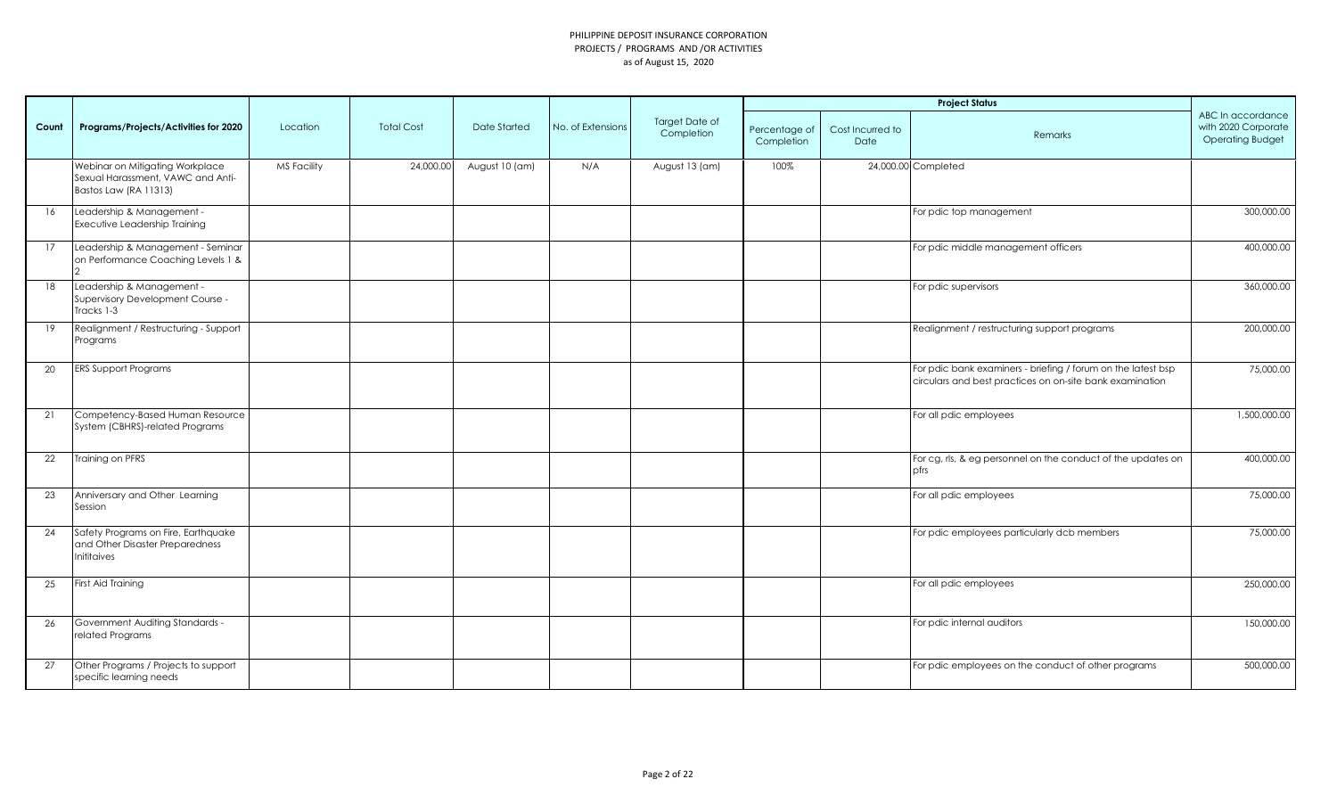|       |                                                                                               |                    |                   |                |                   |                              |                             |                          | <b>Project Status</b>                                                                                                    |                                                                     |
|-------|-----------------------------------------------------------------------------------------------|--------------------|-------------------|----------------|-------------------|------------------------------|-----------------------------|--------------------------|--------------------------------------------------------------------------------------------------------------------------|---------------------------------------------------------------------|
| Count | Programs/Projects/Activities for 2020                                                         | Location           | <b>Total Cost</b> | Date Started   | No. of Extensions | Target Date of<br>Completion | Percentage of<br>Completion | Cost Incurred to<br>Date | Remarks                                                                                                                  | ABC In accordance<br>with 2020 Corporate<br><b>Operating Budget</b> |
|       | Webinar on Mitigating Workplace<br>Sexual Harassment, VAWC and Anti-<br>Bastos Law (RA 11313) | <b>MS Facility</b> | 24,000.00         | August 10 (am) | N/A               | August 13 (am)               | 100%                        |                          | 24,000.00 Completed                                                                                                      |                                                                     |
| 16    | Leadership & Management -<br>Executive Leadership Training                                    |                    |                   |                |                   |                              |                             |                          | For pdic top management                                                                                                  | 300,000.00                                                          |
| 17    | Leadership & Management - Seminar<br>on Performance Coaching Levels 1 &                       |                    |                   |                |                   |                              |                             |                          | For pdic middle management officers                                                                                      | 400,000.00                                                          |
| 18    | Leadership & Management -<br>Supervisory Development Course -<br>Tracks 1-3                   |                    |                   |                |                   |                              |                             |                          | For pdic supervisors                                                                                                     | 360,000.00                                                          |
| 19    | Realignment / Restructuring - Support<br>Programs                                             |                    |                   |                |                   |                              |                             |                          | Realignment / restructuring support programs                                                                             | 200,000.00                                                          |
| 20    | <b>ERS Support Programs</b>                                                                   |                    |                   |                |                   |                              |                             |                          | For pdic bank examiners - briefing / forum on the latest bsp<br>circulars and best practices on on-site bank examination | 75,000.00                                                           |
| 21    | Competency-Based Human Resource<br>System (CBHRS)-related Programs                            |                    |                   |                |                   |                              |                             |                          | For all pdic employees                                                                                                   | 1,500,000.00                                                        |
| 22    | Training on PFRS                                                                              |                    |                   |                |                   |                              |                             |                          | For cg, rls, & eg personnel on the conduct of the updates on<br>pfrs                                                     | 400,000.00                                                          |
| 23    | Anniversary and Other Learning<br>Session                                                     |                    |                   |                |                   |                              |                             |                          | For all pdic employees                                                                                                   | 75,000.00                                                           |
| 24    | Safety Programs on Fire, Earthquake<br>and Other Disaster Preparedness<br>Inititaives         |                    |                   |                |                   |                              |                             |                          | For pdic employees particularly dcb members                                                                              | 75,000.00                                                           |
| 25    | First Aid Training                                                                            |                    |                   |                |                   |                              |                             |                          | For all pdic employees                                                                                                   | 250,000.00                                                          |
| 26    | Government Auditing Standards -<br>related Programs                                           |                    |                   |                |                   |                              |                             |                          | For pdic internal auditors                                                                                               | 150,000.00                                                          |
| 27    | Other Programs / Projects to support<br>specific learning needs                               |                    |                   |                |                   |                              |                             |                          | For pdic employees on the conduct of other programs                                                                      | 500,000.00                                                          |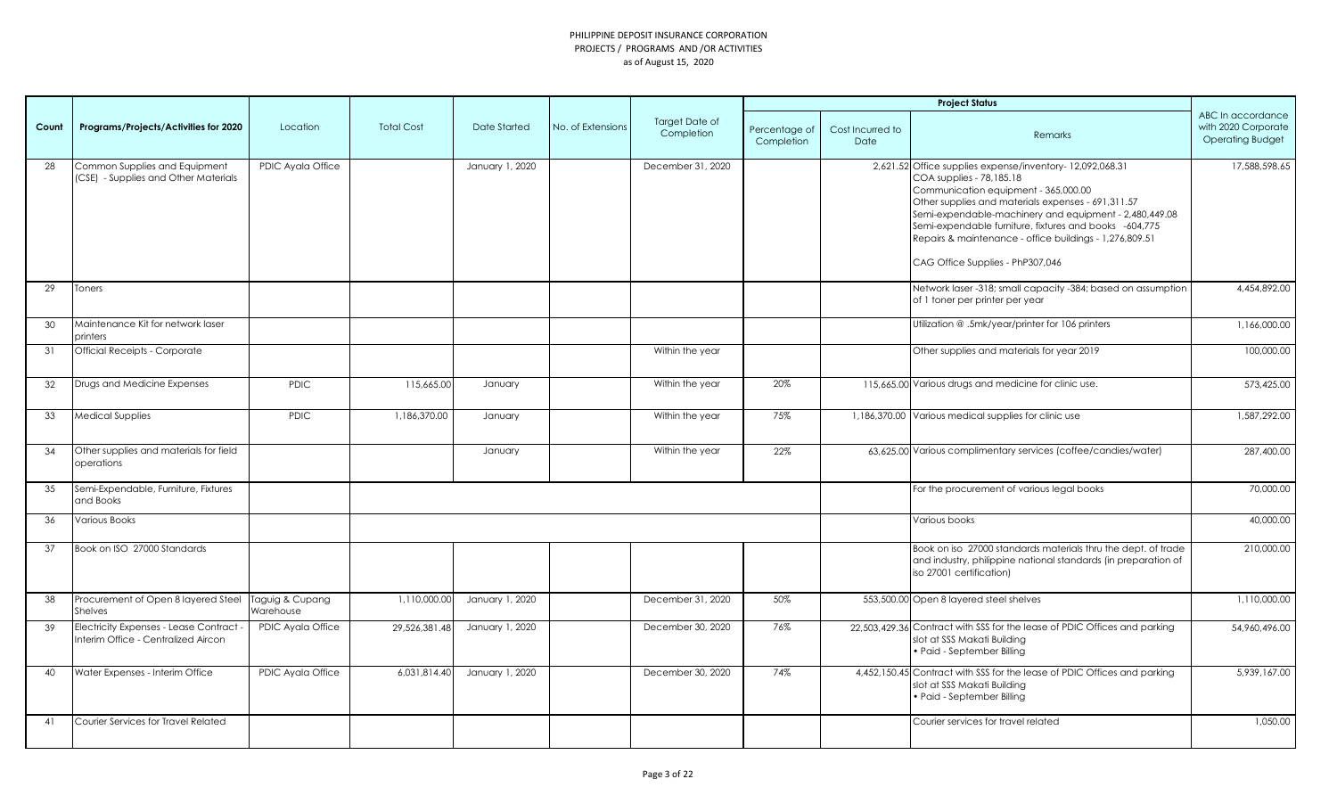|       |                                                                                       |                   |                   |                 |                   |                                     |                             |                          | <b>Project Status</b>                                                                                                                                                                                                                                                                                                                                                                                 |                                                                     |
|-------|---------------------------------------------------------------------------------------|-------------------|-------------------|-----------------|-------------------|-------------------------------------|-----------------------------|--------------------------|-------------------------------------------------------------------------------------------------------------------------------------------------------------------------------------------------------------------------------------------------------------------------------------------------------------------------------------------------------------------------------------------------------|---------------------------------------------------------------------|
| Count | Programs/Projects/Activities for 2020                                                 | Location          | <b>Total Cost</b> | Date Started    | No. of Extensions | <b>Target Date of</b><br>Completion | Percentage of<br>Completion | Cost Incurred to<br>Date | <b>Remarks</b>                                                                                                                                                                                                                                                                                                                                                                                        | ABC In accordance<br>with 2020 Corporate<br><b>Operating Budget</b> |
| 28    | Common Supplies and Equipment<br>(CSE) - Supplies and Other Materials                 | PDIC Ayala Office |                   | January 1, 2020 |                   | December 31, 2020                   |                             |                          | 2,621.52 Office supplies expense/inventory-12,092,068.31<br>COA supplies - 78,185.18<br>Communication equipment - 365,000.00<br>Other supplies and materials expenses - 691,311.57<br>Semi-expendable-machinery and equipment - 2,480,449.08<br>Semi-expendable furniture, fixtures and books -604,775<br>Repairs & maintenance - office buildings - 1,276,809.51<br>CAG Office Supplies - PhP307,046 | 17,588,598.65                                                       |
| 29    | <b>Toners</b>                                                                         |                   |                   |                 |                   |                                     |                             |                          | Network laser -318; small capacity -384; based on assumption<br>of 1 toner per printer per year                                                                                                                                                                                                                                                                                                       | 4,454,892.00                                                        |
| 30    | Maintenance Kit for network laser<br>printers                                         |                   |                   |                 |                   |                                     |                             |                          | Utilization @.5mk/year/printer for 106 printers                                                                                                                                                                                                                                                                                                                                                       | 1,166,000.00                                                        |
| 31    | <b>Official Receipts - Corporate</b>                                                  |                   |                   |                 |                   | Within the year                     |                             |                          | Other supplies and materials for year 2019                                                                                                                                                                                                                                                                                                                                                            | 100,000.00                                                          |
| 32    | Drugs and Medicine Expenses                                                           | <b>PDIC</b>       | 115,665.00        | January         |                   | Within the year                     | 20%                         |                          | 115,665.00 Various drugs and medicine for clinic use.                                                                                                                                                                                                                                                                                                                                                 | 573,425.00                                                          |
| 33    | <b>Medical Supplies</b>                                                               | <b>PDIC</b>       | 1,186,370.00      | January         |                   | Within the year                     | 75%                         |                          | 1,186,370.00 Various medical supplies for clinic use                                                                                                                                                                                                                                                                                                                                                  | 1,587,292.00                                                        |
| 34    | Other supplies and materials for field<br>operations                                  |                   |                   | January         |                   | Within the year                     | 22%                         |                          | 63,625.00 Various complimentary services (coffee/candies/water)                                                                                                                                                                                                                                                                                                                                       | 287,400.00                                                          |
| 35    | Semi-Expendable, Furniture, Fixtures<br>and Books                                     |                   |                   |                 |                   |                                     |                             |                          | For the procurement of various legal books                                                                                                                                                                                                                                                                                                                                                            | 70,000.00                                                           |
| 36    | Various Books                                                                         |                   |                   |                 |                   |                                     |                             |                          | Various books                                                                                                                                                                                                                                                                                                                                                                                         | 40,000.00                                                           |
| 37    | Book on ISO 27000 Standards                                                           |                   |                   |                 |                   |                                     |                             |                          | Book on iso 27000 standards materials thru the dept. of trade<br>and industry, philippine national standards (in preparation of<br>iso 27001 certification)                                                                                                                                                                                                                                           | 210,000,00                                                          |
| 38    | Procurement of Open 8 layered Steel Taguig & Cupang<br>Shelves                        | Warehouse         | 1,110,000.00      | January 1, 2020 |                   | December 31, 2020                   | 50%                         |                          | 553,500.00 Open 8 layered steel shelves                                                                                                                                                                                                                                                                                                                                                               | 1,110,000.00                                                        |
| 39    | <b>Electricity Expenses - Lease Contract -</b><br>Interim Office - Centralized Aircon | PDIC Ayala Office | 29,526,381.48     | January 1, 2020 |                   | December 30, 2020                   | 76%                         |                          | 22,503,429.36 Contract with SSS for the lease of PDIC Offices and parking<br>slot at SSS Makati Building<br>• Paid - September Billing                                                                                                                                                                                                                                                                | 54,960,496,00                                                       |
| 40    | Water Expenses - Interim Office                                                       | PDIC Ayala Office | 6,031,814.40      | January 1, 2020 |                   | December 30, 2020                   | 74%                         |                          | 4,452,150.45 Contract with SSS for the lease of PDIC Offices and parking<br>slot at SSS Makati Building<br>· Paid - September Billing                                                                                                                                                                                                                                                                 | 5,939,167.00                                                        |
| 41    | Courier Services for Travel Related                                                   |                   |                   |                 |                   |                                     |                             |                          | Courier services for travel related                                                                                                                                                                                                                                                                                                                                                                   | 1,050.00                                                            |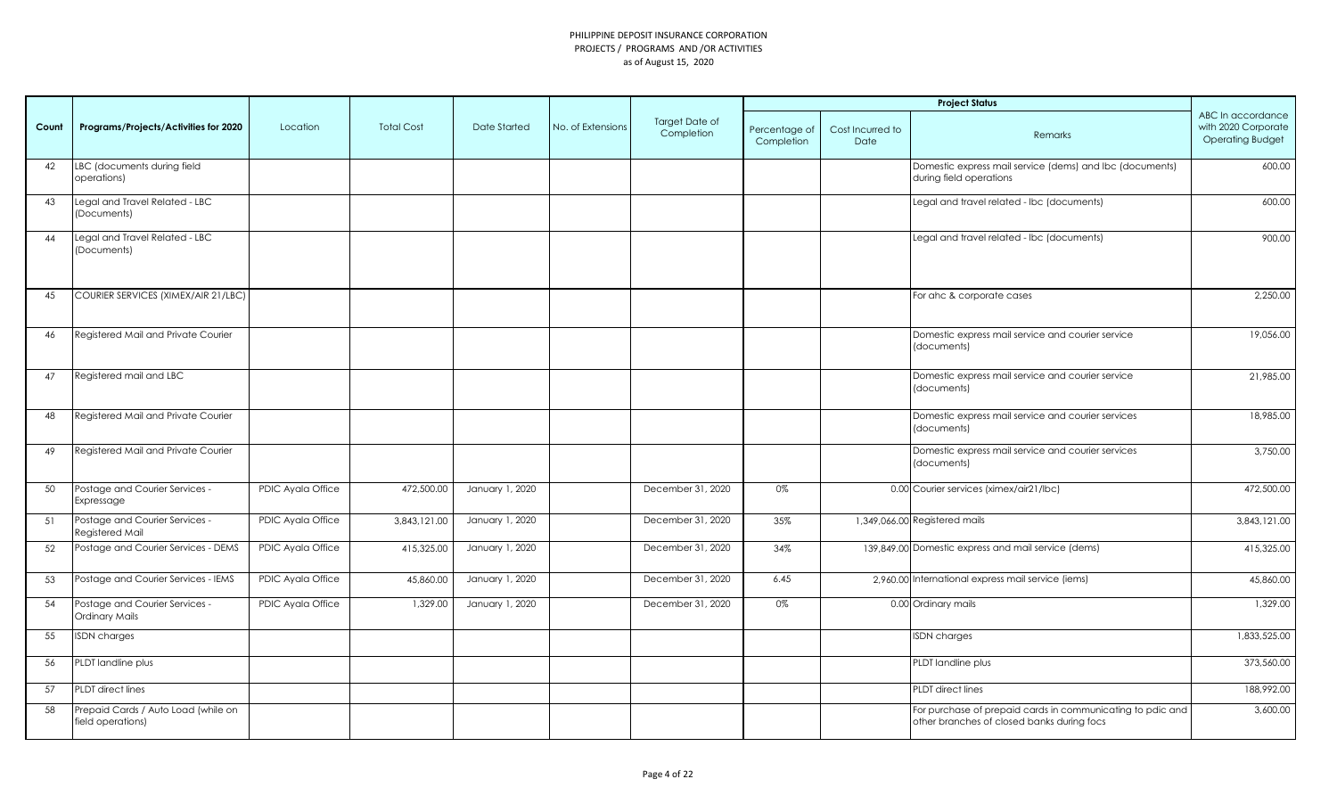|       |                                                          |                   |                   |                 |                   |                              |                             |                          | <b>Project Status</b>                                                                                    |                                                                     |
|-------|----------------------------------------------------------|-------------------|-------------------|-----------------|-------------------|------------------------------|-----------------------------|--------------------------|----------------------------------------------------------------------------------------------------------|---------------------------------------------------------------------|
| Count | Programs/Projects/Activities for 2020                    | Location          | <b>Total Cost</b> | Date Started    | No. of Extensions | Target Date of<br>Completion | Percentage of<br>Completion | Cost Incurred to<br>Date | Remarks                                                                                                  | ABC In accordance<br>with 2020 Corporate<br><b>Operating Budget</b> |
| 42    | LBC (documents during field<br>operations)               |                   |                   |                 |                   |                              |                             |                          | Domestic express mail service (dems) and lbc (documents)<br>during field operations                      | 600.00                                                              |
| 43    | Legal and Travel Related - LBC<br>(Documents)            |                   |                   |                 |                   |                              |                             |                          | Legal and travel related - Ibc (documents)                                                               | 600.00                                                              |
| 44    | Legal and Travel Related - LBC<br>(Documents)            |                   |                   |                 |                   |                              |                             |                          | Legal and travel related - Ibc (documents)                                                               | 900.00                                                              |
| 45    | COURIER SERVICES (XIMEX/AIR 21/LBC)                      |                   |                   |                 |                   |                              |                             |                          | For ahc & corporate cases                                                                                | 2,250.00                                                            |
| 46    | Registered Mail and Private Courier                      |                   |                   |                 |                   |                              |                             |                          | Domestic express mail service and courier service<br>(documents)                                         | 19,056.00                                                           |
| 47    | Registered mail and LBC                                  |                   |                   |                 |                   |                              |                             |                          | Domestic express mail service and courier service<br>(documents)                                         | 21,985.00                                                           |
| 48    | Registered Mail and Private Courier                      |                   |                   |                 |                   |                              |                             |                          | Domestic express mail service and courier services<br>(documents)                                        | 18,985.00                                                           |
| 49    | Registered Mail and Private Courier                      |                   |                   |                 |                   |                              |                             |                          | Domestic express mail service and courier services<br>(documents)                                        | 3,750.00                                                            |
| 50    | Postage and Courier Services -<br>Expressage             | PDIC Ayala Office | 472,500.00        | January 1, 2020 |                   | December 31, 2020            | 0%                          |                          | 0.00 Courier services (ximex/air21/lbc)                                                                  | 472,500.00                                                          |
| 51    | Postage and Courier Services -<br>Registered Mail        | PDIC Ayala Office | 3,843,121.00      | January 1, 2020 |                   | December 31, 2020            | 35%                         |                          | 1,349,066.00 Registered mails                                                                            | 3,843,121.00                                                        |
| 52    | Postage and Courier Services - DEMS                      | PDIC Ayala Office | 415,325.00        | January 1, 2020 |                   | December 31, 2020            | 34%                         |                          | 139,849.00 Domestic express and mail service (dems)                                                      | 415,325.00                                                          |
| 53    | Postage and Courier Services - IEMS                      | PDIC Ayala Office | 45,860.00         | January 1, 2020 |                   | December 31, 2020            | 6.45                        |                          | 2,960.00 International express mail service (iems)                                                       | 45,860.00                                                           |
| 54    | Postage and Courier Services -<br>Ordinary Mails         | PDIC Ayala Office | 1,329.00          | January 1, 2020 |                   | December 31, 2020            | 0%                          |                          | 0.00 Ordinary mails                                                                                      | 1,329.00                                                            |
| 55    | <b>ISDN</b> charges                                      |                   |                   |                 |                   |                              |                             |                          | <b>ISDN</b> charges                                                                                      | 1,833,525.00                                                        |
| 56    | PLDT landline plus                                       |                   |                   |                 |                   |                              |                             |                          | PLDT landline plus                                                                                       | 373,560.00                                                          |
| 57    | <b>PLDT</b> direct lines                                 |                   |                   |                 |                   |                              |                             |                          | PLDT direct lines                                                                                        | 188,992.00                                                          |
| 58    | Prepaid Cards / Auto Load (while on<br>field operations) |                   |                   |                 |                   |                              |                             |                          | For purchase of prepaid cards in communicating to pdic and<br>other branches of closed banks during focs | 3,600.00                                                            |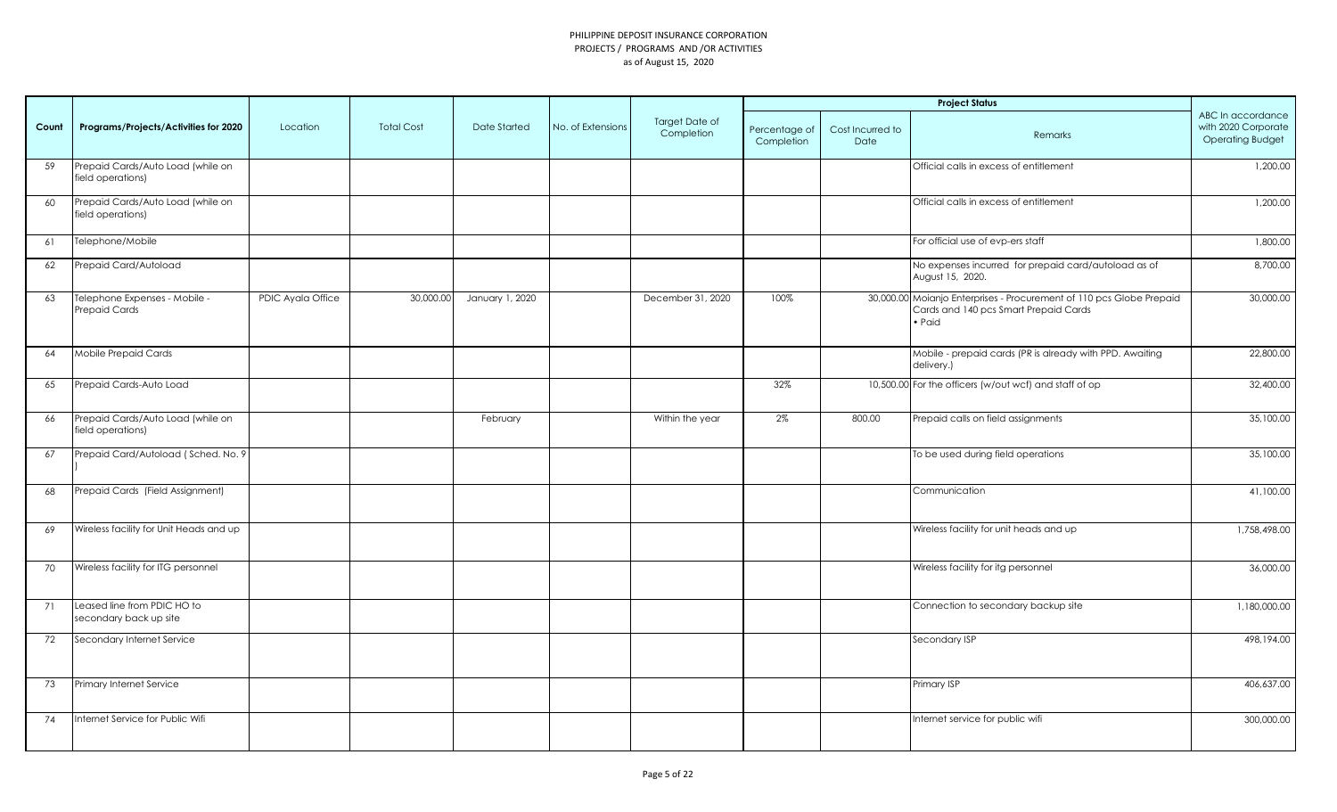|       |                                                        |                   |                   |                 |                   |                                     |                             |                          | <b>Project Status</b>                                                                                                   |                                                                     |
|-------|--------------------------------------------------------|-------------------|-------------------|-----------------|-------------------|-------------------------------------|-----------------------------|--------------------------|-------------------------------------------------------------------------------------------------------------------------|---------------------------------------------------------------------|
| Count | Programs/Projects/Activities for 2020                  | Location          | <b>Total Cost</b> | Date Started    | No. of Extensions | <b>Target Date of</b><br>Completion | Percentage of<br>Completion | Cost Incurred to<br>Date | Remarks                                                                                                                 | ABC In accordance<br>with 2020 Corporate<br><b>Operating Budget</b> |
| 59    | Prepaid Cards/Auto Load (while on<br>field operations) |                   |                   |                 |                   |                                     |                             |                          | Official calls in excess of entitlement                                                                                 | 1,200.00                                                            |
| 60    | Prepaid Cards/Auto Load (while on<br>field operations) |                   |                   |                 |                   |                                     |                             |                          | Official calls in excess of entitlement                                                                                 | 1,200.00                                                            |
| 61    | Telephone/Mobile                                       |                   |                   |                 |                   |                                     |                             |                          | For official use of evp-ers staff                                                                                       | 1,800.00                                                            |
| 62    | Prepaid Card/Autoload                                  |                   |                   |                 |                   |                                     |                             |                          | No expenses incurred for prepaid card/autoload as of<br>August 15, 2020.                                                | 8,700.00                                                            |
| 63    | Telephone Expenses - Mobile -<br><b>Prepaid Cards</b>  | PDIC Ayala Office | 30,000.00         | January 1, 2020 |                   | December 31, 2020                   | 100%                        |                          | 30,000.00 Moianjo Enterprises - Procurement of 110 pcs Globe Prepaid<br>Cards and 140 pcs Smart Prepaid Cards<br>• Paid | 30,000.00                                                           |
| 64    | Mobile Prepaid Cards                                   |                   |                   |                 |                   |                                     |                             |                          | Mobile - prepaid cards (PR is already with PPD. Awaiting<br>delivery.)                                                  | 22,800.00                                                           |
| 65    | Prepaid Cards-Auto Load                                |                   |                   |                 |                   |                                     | 32%                         |                          | 10,500.00 For the officers (w/out wcf) and staff of op                                                                  | 32,400.00                                                           |
| 66    | Prepaid Cards/Auto Load (while on<br>field operations) |                   |                   | February        |                   | Within the year                     | 2%                          | 800.00                   | Prepaid calls on field assignments                                                                                      | 35,100.00                                                           |
| 67    | Prepaid Card/Autoload (Sched. No. 9                    |                   |                   |                 |                   |                                     |                             |                          | To be used during field operations                                                                                      | 35,100.00                                                           |
| 68    | Prepaid Cards (Field Assignment)                       |                   |                   |                 |                   |                                     |                             |                          | Communication                                                                                                           | 41,100.00                                                           |
| 69    | Wireless facility for Unit Heads and up                |                   |                   |                 |                   |                                     |                             |                          | Wireless facility for unit heads and up                                                                                 | 1,758,498.00                                                        |
| 70    | Wireless facility for ITG personnel                    |                   |                   |                 |                   |                                     |                             |                          | Wireless facility for itg personnel                                                                                     | 36,000.00                                                           |
| 71    | Leased line from PDIC HO to<br>secondary back up site  |                   |                   |                 |                   |                                     |                             |                          | Connection to secondary backup site                                                                                     | 1,180,000.00                                                        |
| 72    | Secondary Internet Service                             |                   |                   |                 |                   |                                     |                             |                          | Secondary ISP                                                                                                           | 498,194.00                                                          |
| 73    | Primary Internet Service                               |                   |                   |                 |                   |                                     |                             |                          | Primary ISP                                                                                                             | 406,637.00                                                          |
| 74    | Internet Service for Public Wifi                       |                   |                   |                 |                   |                                     |                             |                          | Internet service for public wifi                                                                                        | 300,000.00                                                          |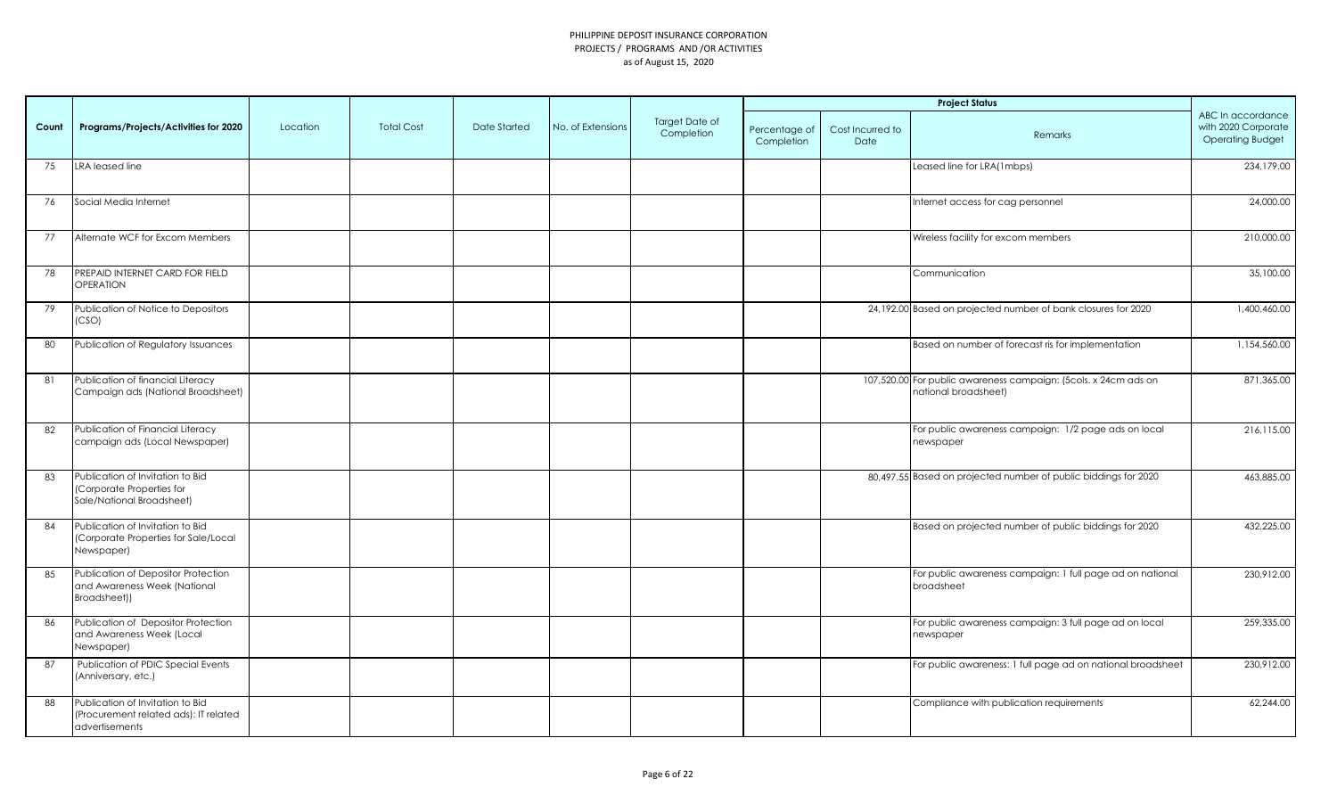|       |                                                                                             |          |                   |              |                   |                              |                             |                          | <b>Project Status</b>                                                                   |                                                                     |
|-------|---------------------------------------------------------------------------------------------|----------|-------------------|--------------|-------------------|------------------------------|-----------------------------|--------------------------|-----------------------------------------------------------------------------------------|---------------------------------------------------------------------|
| Count | Programs/Projects/Activities for 2020                                                       | Location | <b>Total Cost</b> | Date Started | No. of Extensions | Target Date of<br>Completion | Percentage of<br>Completion | Cost Incurred to<br>Date | Remarks                                                                                 | ABC In accordance<br>with 2020 Corporate<br><b>Operating Budget</b> |
| 75    | LRA leased line                                                                             |          |                   |              |                   |                              |                             |                          | Leased line for LRA(1mbps)                                                              | 234,179.00                                                          |
| 76    | Social Media Internet                                                                       |          |                   |              |                   |                              |                             |                          | Internet access for cag personnel                                                       | 24,000.00                                                           |
| 77    | Alternate WCF for Excom Members                                                             |          |                   |              |                   |                              |                             |                          | Wireless facility for excom members                                                     | 210,000.00                                                          |
| 78    | PREPAID INTERNET CARD FOR FIELD<br><b>OPERATION</b>                                         |          |                   |              |                   |                              |                             |                          | Communication                                                                           | 35,100.00                                                           |
| 79    | Publication of Notice to Depositors<br>(CSO)                                                |          |                   |              |                   |                              |                             |                          | 24,192.00 Based on projected number of bank closures for 2020                           | 1,400,460.00                                                        |
| 80    | Publication of Regulatory Issuances                                                         |          |                   |              |                   |                              |                             |                          | Based on number of forecast ris for implementation                                      | 1,154,560.00                                                        |
| 81    | Publication of financial Literacy<br>Campaign ads (National Broadsheet)                     |          |                   |              |                   |                              |                             |                          | 107,520.00 For public awareness campaign: (5cols. x 24cm ads on<br>national broadsheet) | 871,365.00                                                          |
| 82    | Publication of Financial Literacy<br>campaign ads (Local Newspaper)                         |          |                   |              |                   |                              |                             |                          | For public awareness campaign: 1/2 page ads on local<br>newspaper                       | 216,115.00                                                          |
| 83    | Publication of Invitation to Bid<br>(Corporate Properties for<br>Sale/National Broadsheet)  |          |                   |              |                   |                              |                             |                          | 80,497.55 Based on projected number of public biddings for 2020                         | 463,885.00                                                          |
| 84    | Publication of Invitation to Bid<br>(Corporate Properties for Sale/Local<br>Newspaper)      |          |                   |              |                   |                              |                             |                          | Based on projected number of public biddings for 2020                                   | 432,225.00                                                          |
| 85    | Publication of Depositor Protection<br>and Awareness Week (National<br>Broadsheet))         |          |                   |              |                   |                              |                             |                          | For public awareness campaign: 1 full page ad on national<br>broadsheet                 | 230,912.00                                                          |
| 86    | Publication of Depositor Protection<br>and Awareness Week (Local<br>Newspaper)              |          |                   |              |                   |                              |                             |                          | For public awareness campaign: 3 full page ad on local<br>newspaper                     | 259,335.00                                                          |
| 87    | Publication of PDIC Special Events<br>(Anniversary, etc.)                                   |          |                   |              |                   |                              |                             |                          | For public awareness: 1 full page ad on national broadsheet                             | 230,912.00                                                          |
| 88    | Publication of Invitation to Bid<br>(Procurement related ads): IT related<br>advertisements |          |                   |              |                   |                              |                             |                          | Compliance with publication requirements                                                | 62,244.00                                                           |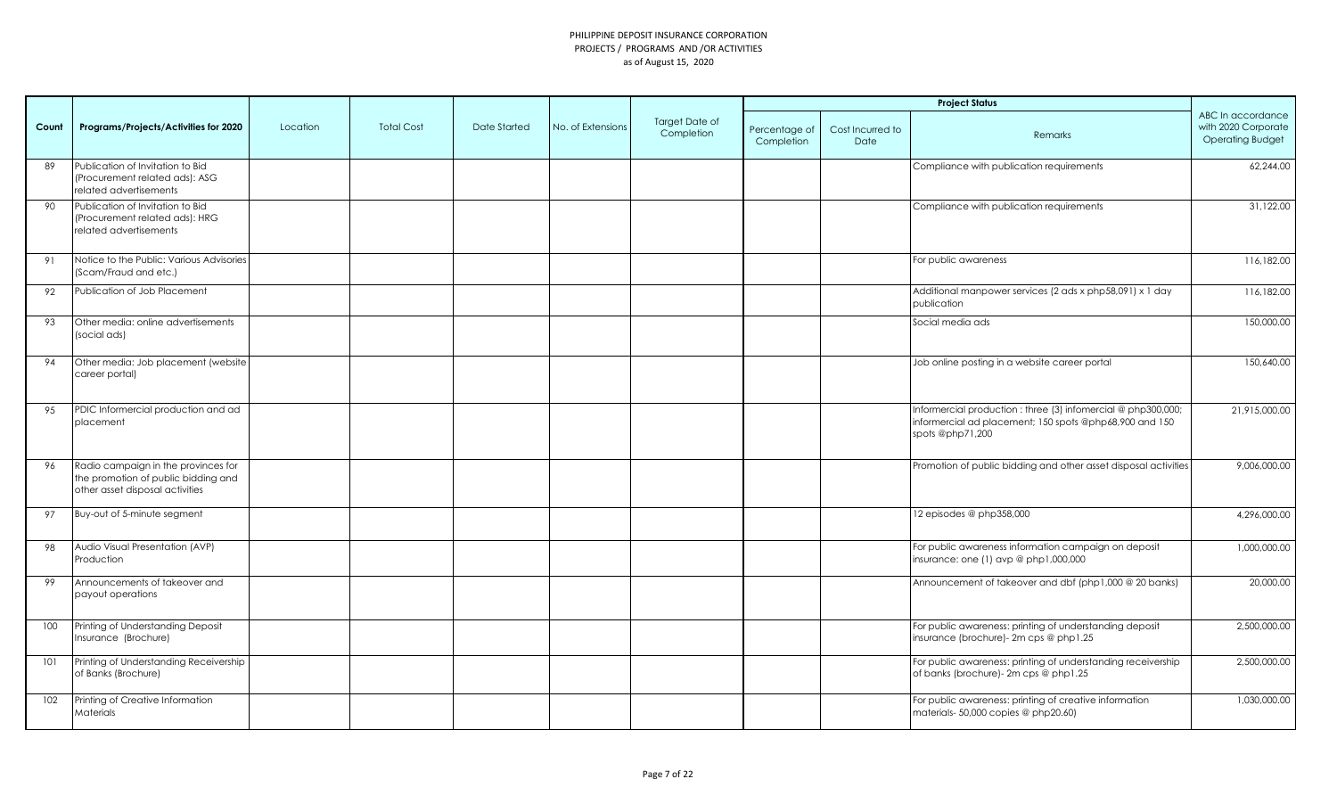|       |                                                                                                               |          |                   |              |                   |                              |                             |                          | <b>Project Status</b>                                                                                                                        |                                                                     |
|-------|---------------------------------------------------------------------------------------------------------------|----------|-------------------|--------------|-------------------|------------------------------|-----------------------------|--------------------------|----------------------------------------------------------------------------------------------------------------------------------------------|---------------------------------------------------------------------|
| Count | Programs/Projects/Activities for 2020                                                                         | Location | <b>Total Cost</b> | Date Started | No. of Extensions | Target Date of<br>Completion | Percentage of<br>Completion | Cost Incurred to<br>Date | Remarks                                                                                                                                      | ABC In accordance<br>with 2020 Corporate<br><b>Operating Budget</b> |
| 89    | Publication of Invitation to Bid<br>(Procurement related ads): ASG<br>related advertisements                  |          |                   |              |                   |                              |                             |                          | Compliance with publication requirements                                                                                                     | 62,244.00                                                           |
| 90    | Publication of Invitation to Bid<br>(Procurement related ads): HRG<br>related advertisements                  |          |                   |              |                   |                              |                             |                          | Compliance with publication requirements                                                                                                     | 31,122.00                                                           |
| 91    | Notice to the Public: Various Advisories<br>(Scam/Fraud and etc.)                                             |          |                   |              |                   |                              |                             |                          | For public awareness                                                                                                                         | 116,182.00                                                          |
| 92    | Publication of Job Placement                                                                                  |          |                   |              |                   |                              |                             |                          | Additional manpower services (2 ads x php58,091) x 1 day<br>publication                                                                      | 116,182.00                                                          |
| 93    | Other media: online advertisements<br>(social ads)                                                            |          |                   |              |                   |                              |                             |                          | Social media ads                                                                                                                             | 150,000.00                                                          |
| 94    | Other media: Job placement (website<br>career portal)                                                         |          |                   |              |                   |                              |                             |                          | Job online posting in a website career portal                                                                                                | 150,640.00                                                          |
| 95    | PDIC Informercial production and ad<br>placement                                                              |          |                   |              |                   |                              |                             |                          | Informercial production : three (3) infomercial @ php300,000;<br>informercial ad placement; 150 spots @php68,900 and 150<br>spots @php71,200 | 21,915,000.00                                                       |
| 96    | Radio campaign in the provinces for<br>the promotion of public bidding and<br>other asset disposal activities |          |                   |              |                   |                              |                             |                          | Promotion of public bidding and other asset disposal activities                                                                              | 9,006,000.00                                                        |
| 97    | Buy-out of 5-minute segment                                                                                   |          |                   |              |                   |                              |                             |                          | 12 episodes @ php358,000                                                                                                                     | 4,296,000.00                                                        |
| 98    | Audio Visual Presentation (AVP)<br>Production                                                                 |          |                   |              |                   |                              |                             |                          | For public awareness information campaign on deposit<br>insurance: one (1) avp @ php1,000,000                                                | 1,000,000.00                                                        |
| 99    | Announcements of takeover and<br>payout operations                                                            |          |                   |              |                   |                              |                             |                          | Announcement of takeover and dbf (php1,000 @ 20 banks)                                                                                       | 20,000.00                                                           |
| 100   | Printing of Understanding Deposit<br>Insurance (Brochure)                                                     |          |                   |              |                   |                              |                             |                          | For public awareness: printing of understanding deposit<br>insurance (brochure)- 2m cps @ php1.25                                            | 2,500,000.00                                                        |
| 101   | Printing of Understanding Receivership<br>of Banks (Brochure)                                                 |          |                   |              |                   |                              |                             |                          | For public awareness: printing of understanding receivership<br>of banks (brochure)- 2m cps @ php1.25                                        | 2,500,000.00                                                        |
| 102   | Printing of Creative Information<br>Materials                                                                 |          |                   |              |                   |                              |                             |                          | For public awareness: printing of creative information<br>materials- 50,000 copies @ php20.60)                                               | 1,030,000.00                                                        |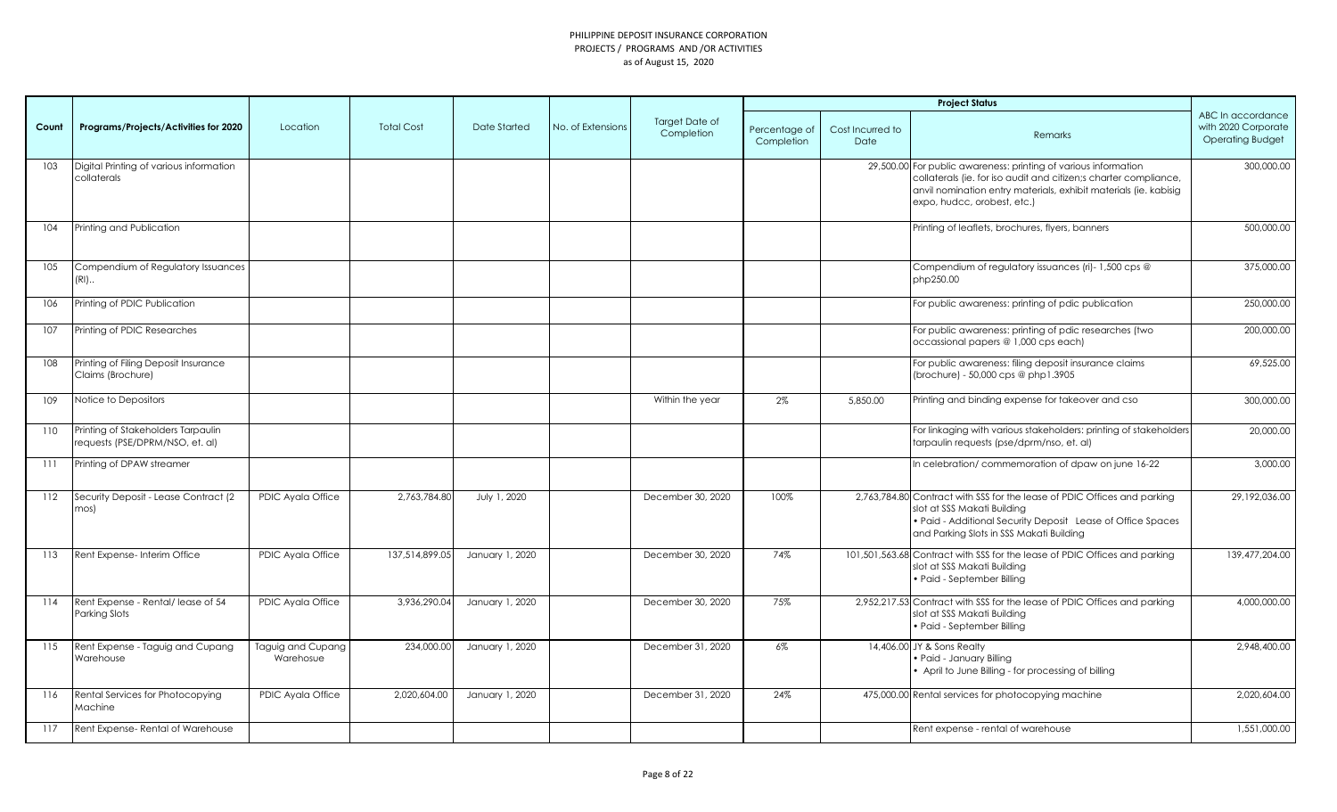|       |                                                                       |                                |                   |                 |                   |                                     |                             |                          | <b>Project Status</b>                                                                                                                                                                                                                  |                                                                     |
|-------|-----------------------------------------------------------------------|--------------------------------|-------------------|-----------------|-------------------|-------------------------------------|-----------------------------|--------------------------|----------------------------------------------------------------------------------------------------------------------------------------------------------------------------------------------------------------------------------------|---------------------------------------------------------------------|
| Count | Programs/Projects/Activities for 2020                                 | Location                       | <b>Total Cost</b> | Date Started    | No. of Extensions | <b>Target Date of</b><br>Completion | Percentage of<br>Completion | Cost Incurred to<br>Date | Remarks                                                                                                                                                                                                                                | ABC In accordance<br>with 2020 Corporate<br><b>Operating Budget</b> |
| 103   | Digital Printing of various information<br>collaterals                |                                |                   |                 |                   |                                     |                             |                          | 29,500.00 For public awareness: printing of various information<br>collaterals (ie. for iso audit and citizen;s charter compliance,<br>anvil nomination entry materials, exhibit materials (ie. kabisig<br>expo, hudcc, orobest, etc.) | 300,000.00                                                          |
| 104   | Printing and Publication                                              |                                |                   |                 |                   |                                     |                             |                          | Printing of leaflets, brochures, flyers, banners                                                                                                                                                                                       | 500,000.00                                                          |
| 105   | Compendium of Regulatory Issuances<br>$(RI)$                          |                                |                   |                 |                   |                                     |                             |                          | Compendium of regulatory issuances (ri)-1,500 cps @<br>php250.00                                                                                                                                                                       | 375,000.00                                                          |
| 106   | Printing of PDIC Publication                                          |                                |                   |                 |                   |                                     |                             |                          | For public awareness: printing of pdic publication                                                                                                                                                                                     | 250,000.00                                                          |
| 107   | Printing of PDIC Researches                                           |                                |                   |                 |                   |                                     |                             |                          | For public awareness: printing of pdic researches (two<br>occassional papers @ 1,000 cps each)                                                                                                                                         | 200,000.00                                                          |
| 108   | Printing of Filing Deposit Insurance<br>Claims (Brochure)             |                                |                   |                 |                   |                                     |                             |                          | For public awareness: filing deposit insurance claims<br>(brochure) - 50,000 cps @ php1.3905                                                                                                                                           | 69,525.00                                                           |
| 109   | Notice to Depositors                                                  |                                |                   |                 |                   | Within the year                     | 2%                          | 5,850,00                 | Printing and binding expense for takeover and cso                                                                                                                                                                                      | 300,000.00                                                          |
| 110   | Printing of Stakeholders Tarpaulin<br>requests (PSE/DPRM/NSO, et. al) |                                |                   |                 |                   |                                     |                             |                          | For linkaging with various stakeholders: printing of stakeholders<br>tarpaulin requests (pse/dprm/nso, et. al)                                                                                                                         | 20,000.00                                                           |
| 111   | Printing of DPAW streamer                                             |                                |                   |                 |                   |                                     |                             |                          | In celebration/commemoration of dpaw on june 16-22                                                                                                                                                                                     | 3,000.00                                                            |
| 112   | Security Deposit - Lease Contract (2<br>mos)                          | <b>PDIC Avala Office</b>       | 2.763.784.80      | July 1, 2020    |                   | December 30, 2020                   | 100%                        |                          | 2,763,784.80 Contract with SSS for the lease of PDIC Offices and parking<br>slot at SSS Makati Building<br>• Paid - Additional Security Deposit Lease of Office Spaces<br>and Parking Slots in SSS Makati Building                     | 29,192,036.00                                                       |
| 113   | Rent Expense- Interim Office                                          | PDIC Ayala Office              | 137,514,899.05    | January 1, 2020 |                   | December 30, 2020                   | 74%                         |                          | 101,501,563.68 Contract with SSS for the lease of PDIC Offices and parking<br>slot at SSS Makati Building<br>• Paid - September Billing                                                                                                | 139,477,204.00                                                      |
| 114   | Rent Expense - Rental/lease of 54<br>Parking Slots                    | PDIC Ayala Office              | 3,936,290.04      | January 1, 2020 |                   | December 30, 2020                   | 75%                         |                          | 2,952,217.53 Contract with SSS for the lease of PDIC Offices and parking<br>slot at SSS Makati Building<br>• Paid - September Billing                                                                                                  | 4,000,000.00                                                        |
| 115   | Rent Expense - Taguig and Cupang<br>Warehouse                         | Taguig and Cupang<br>Warehosue | 234,000.00        | January 1, 2020 |                   | December 31, 2020                   | $6\%$                       |                          | 14,406.00 JY & Sons Realty<br>· Paid - January Billing<br>• April to June Billing - for processing of billing                                                                                                                          | 2.948.400.00                                                        |
| 116   | Rental Services for Photocopying<br>Machine                           | PDIC Ayala Office              | 2,020,604.00      | January 1, 2020 |                   | December 31, 2020                   | 24%                         |                          | 475,000.00 Rental services for photocopying machine                                                                                                                                                                                    | 2,020,604.00                                                        |
| 117   | Rent Expense-Rental of Warehouse                                      |                                |                   |                 |                   |                                     |                             |                          | Rent expense - rental of warehouse                                                                                                                                                                                                     | 1,551,000.00                                                        |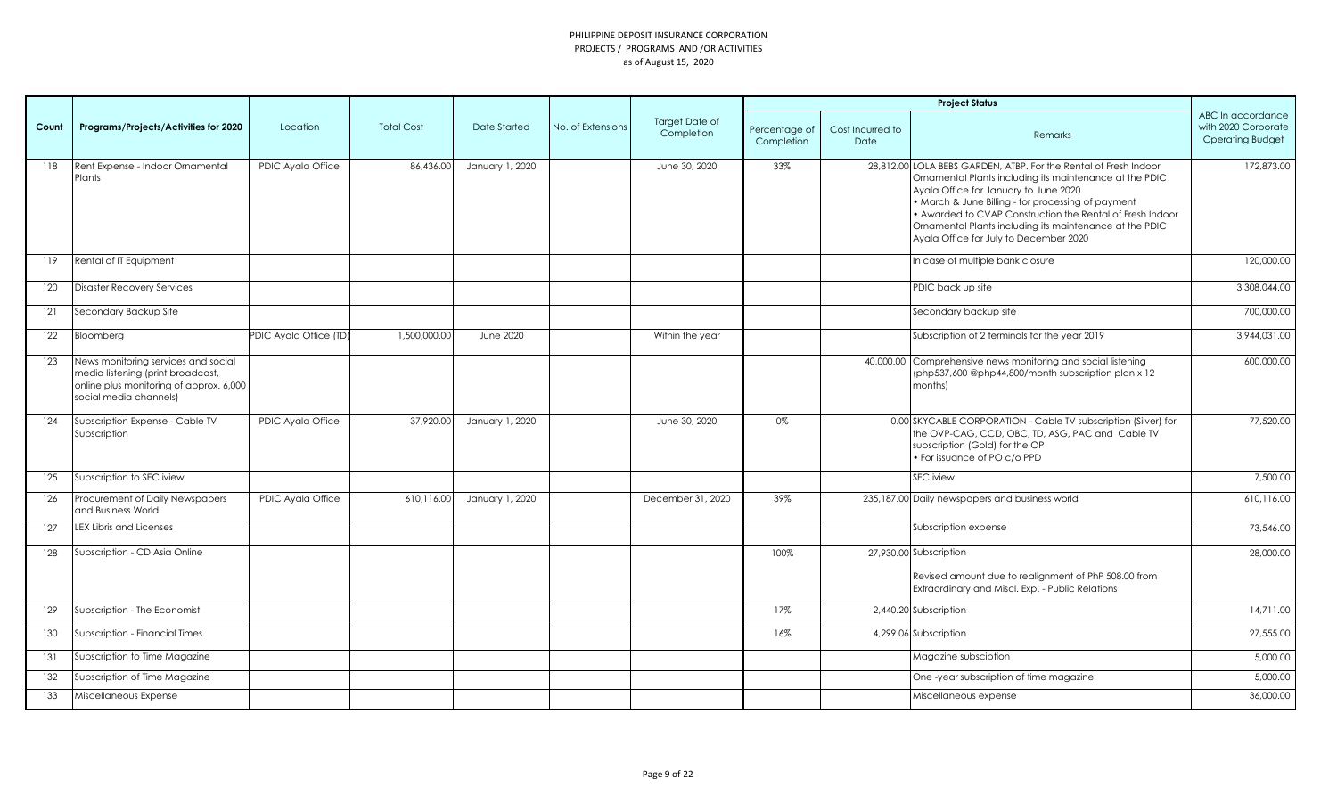|       |                                                                                                                                               |                        |                   |                  |                   |                                     |                             |                          | <b>Project Status</b>                                                                                                                                                                                                                                                                                                                                                                        |                                                                     |
|-------|-----------------------------------------------------------------------------------------------------------------------------------------------|------------------------|-------------------|------------------|-------------------|-------------------------------------|-----------------------------|--------------------------|----------------------------------------------------------------------------------------------------------------------------------------------------------------------------------------------------------------------------------------------------------------------------------------------------------------------------------------------------------------------------------------------|---------------------------------------------------------------------|
| Count | Programs/Projects/Activities for 2020                                                                                                         | Location               | <b>Total Cost</b> | Date Started     | No. of Extensions | <b>Target Date of</b><br>Completion | Percentage of<br>Completion | Cost Incurred to<br>Date | Remarks                                                                                                                                                                                                                                                                                                                                                                                      | ABC In accordance<br>with 2020 Corporate<br><b>Operating Budget</b> |
| 118   | Rent Expense - Indoor Ornamental<br>Plants                                                                                                    | PDIC Ayala Office      | 86,436.00         | January 1, 2020  |                   | June 30, 2020                       | 33%                         |                          | 28.812.00 LOLA BEBS GARDEN, ATBP, For the Rental of Fresh Indoor<br>Ornamental Plants including its maintenance at the PDIC<br>Ayala Office for January to June 2020<br>• March & June Billing - for processing of payment<br>• Awarded to CVAP Construction the Rental of Fresh Indoor<br>Ornamental Plants including its maintenance at the PDIC<br>Ayala Office for July to December 2020 | 172.873.00                                                          |
| 119   | Rental of IT Equipment                                                                                                                        |                        |                   |                  |                   |                                     |                             |                          | In case of multiple bank closure                                                                                                                                                                                                                                                                                                                                                             | 120,000.00                                                          |
| 120   | <b>Disaster Recovery Services</b>                                                                                                             |                        |                   |                  |                   |                                     |                             |                          | PDIC back up site                                                                                                                                                                                                                                                                                                                                                                            | 3,308,044.00                                                        |
| 121   | Secondary Backup Site                                                                                                                         |                        |                   |                  |                   |                                     |                             |                          | Secondary backup site                                                                                                                                                                                                                                                                                                                                                                        | 700,000.00                                                          |
| 122   | Bloomberg                                                                                                                                     | PDIC Ayala Office (TD) | 1,500,000.00      | <b>June 2020</b> |                   | Within the year                     |                             |                          | Subscription of 2 terminals for the year 2019                                                                                                                                                                                                                                                                                                                                                | 3,944,031.00                                                        |
| 123   | News monitoring services and social<br>media listening (print broadcast,<br>online plus monitoring of approx. 6,000<br>social media channels) |                        |                   |                  |                   |                                     |                             |                          | 40,000.00 Comprehensive news monitoring and social listening<br>(php537,600 @php44,800/month subscription plan x 12<br>months)                                                                                                                                                                                                                                                               | 600.000.00                                                          |
| 124   | Subscription Expense - Cable TV<br>Subscription                                                                                               | PDIC Ayala Office      | 37,920.00         | January 1, 2020  |                   | June 30, 2020                       | 0%                          |                          | 0.00 SKYCABLE CORPORATION - Cable TV subscription (Silver) for<br>the OVP-CAG, CCD, OBC, TD, ASG, PAC and Cable TV<br>subscription (Gold) for the OP<br>· For issuance of PO c/o PPD                                                                                                                                                                                                         | 77,520.00                                                           |
| 125   | Subscription to SEC iview                                                                                                                     |                        |                   |                  |                   |                                     |                             |                          | <b>SEC</b> iview                                                                                                                                                                                                                                                                                                                                                                             | 7,500.00                                                            |
| 126   | Procurement of Daily Newspapers<br>and Business World                                                                                         | PDIC Ayala Office      | 610,116.00        | January 1, 2020  |                   | December 31, 2020                   | 39%                         |                          | 235,187.00 Daily newspapers and business world                                                                                                                                                                                                                                                                                                                                               | 610,116.00                                                          |
| 127   | <b>LEX Libris and Licenses</b>                                                                                                                |                        |                   |                  |                   |                                     |                             |                          | Subscription expense                                                                                                                                                                                                                                                                                                                                                                         | 73,546.00                                                           |
| 128   | Subscription - CD Asia Online                                                                                                                 |                        |                   |                  |                   |                                     | 100%                        |                          | 27,930.00 Subscription<br>Revised amount due to realignment of PhP 508.00 from<br>Extraordinary and Miscl. Exp. - Public Relations                                                                                                                                                                                                                                                           | 28,000.00                                                           |
| 129   | Subscription - The Economist                                                                                                                  |                        |                   |                  |                   |                                     | 17%                         |                          | 2,440.20 Subscription                                                                                                                                                                                                                                                                                                                                                                        | 14,711.00                                                           |
| 130   | Subscription - Financial Times                                                                                                                |                        |                   |                  |                   |                                     | 16%                         |                          | 4,299.06 Subscription                                                                                                                                                                                                                                                                                                                                                                        | 27,555.00                                                           |
| 131   | Subscription to Time Magazine                                                                                                                 |                        |                   |                  |                   |                                     |                             |                          | Magazine subsciption                                                                                                                                                                                                                                                                                                                                                                         | 5,000.00                                                            |
| 132   | Subscription of Time Magazine                                                                                                                 |                        |                   |                  |                   |                                     |                             |                          | One-year subscription of time magazine                                                                                                                                                                                                                                                                                                                                                       | 5,000.00                                                            |
| 133   | Miscellaneous Expense                                                                                                                         |                        |                   |                  |                   |                                     |                             |                          | Miscellaneous expense                                                                                                                                                                                                                                                                                                                                                                        | 36,000.00                                                           |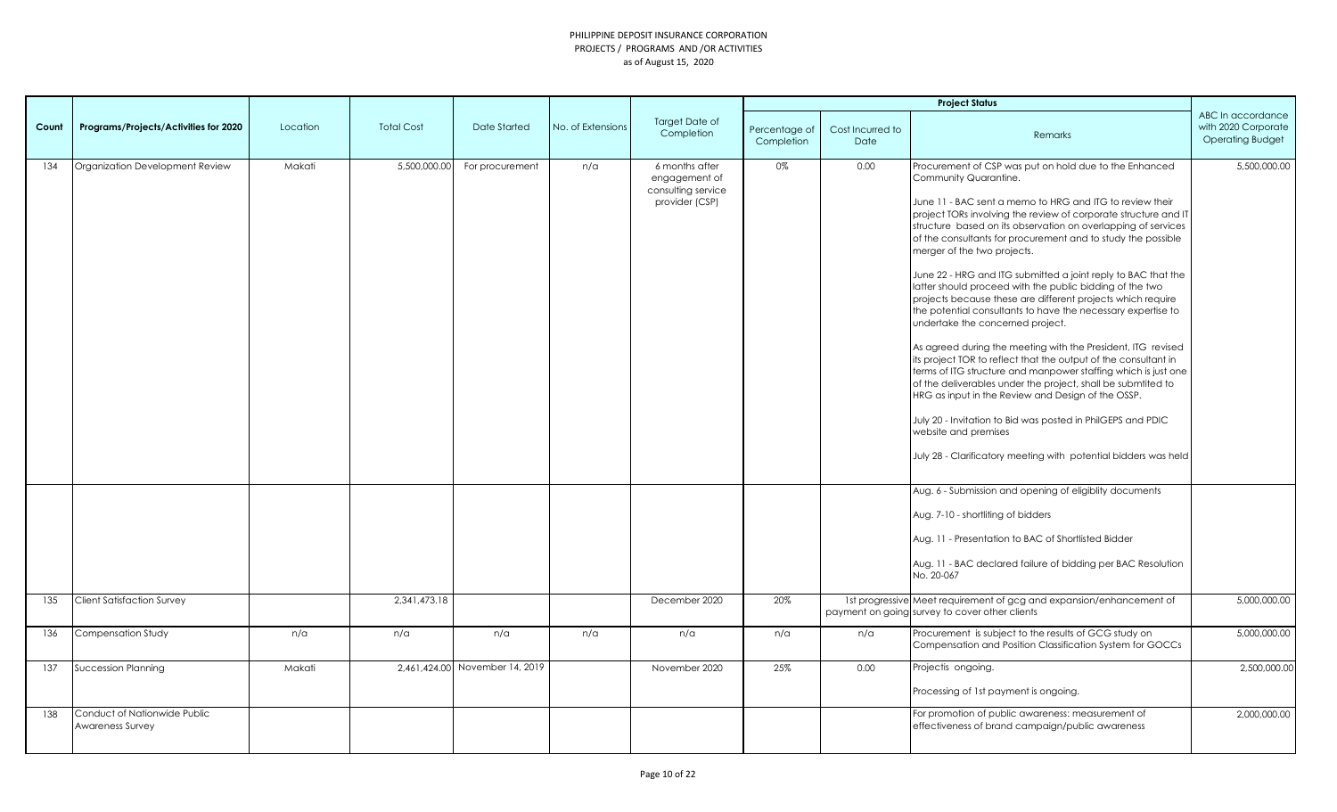|       |                                                  |          |                   |                                |                   |                                                                         |                             |                          | <b>Project Status</b>                                                                                                                                                                                                                                                                                                                                                                                                                                                                                                                                                                                                                                                                                                                                                                                                                                                                                                                                                                                                                                                                                                                                                                                                          |                                                                     |
|-------|--------------------------------------------------|----------|-------------------|--------------------------------|-------------------|-------------------------------------------------------------------------|-----------------------------|--------------------------|--------------------------------------------------------------------------------------------------------------------------------------------------------------------------------------------------------------------------------------------------------------------------------------------------------------------------------------------------------------------------------------------------------------------------------------------------------------------------------------------------------------------------------------------------------------------------------------------------------------------------------------------------------------------------------------------------------------------------------------------------------------------------------------------------------------------------------------------------------------------------------------------------------------------------------------------------------------------------------------------------------------------------------------------------------------------------------------------------------------------------------------------------------------------------------------------------------------------------------|---------------------------------------------------------------------|
| Count | Programs/Projects/Activities for 2020            | Location | <b>Total Cost</b> | Date Started                   | No. of Extensions | <b>Target Date of</b><br>Completion                                     | Percentage of<br>Completion | Cost Incurred to<br>Date | Remarks                                                                                                                                                                                                                                                                                                                                                                                                                                                                                                                                                                                                                                                                                                                                                                                                                                                                                                                                                                                                                                                                                                                                                                                                                        | ABC In accordance<br>with 2020 Corporate<br><b>Operating Budget</b> |
| 134   | Organization Development Review                  | Makati   | 5,500,000.00      | For procurement                | n/a               | 6 months after<br>engagement of<br>consulting service<br>provider (CSP) | 0%                          | 0.00                     | Procurement of CSP was put on hold due to the Enhanced<br>Community Quarantine.<br>June 11 - BAC sent a memo to HRG and ITG to review their<br>project TORs involving the review of corporate structure and IT<br>structure based on its observation on overlapping of services<br>of the consultants for procurement and to study the possible<br>merger of the two projects.<br>June 22 - HRG and ITG submitted a joint reply to BAC that the<br>latter should proceed with the public bidding of the two<br>projects because these are different projects which require<br>the potential consultants to have the necessary expertise to<br>undertake the concerned project.<br>As agreed during the meeting with the President, ITG revised<br>its project TOR to reflect that the output of the consultant in<br>terms of ITG structure and manpower staffing which is just one<br>of the deliverables under the project, shall be submtited to<br>HRG as input in the Review and Design of the OSSP.<br>July 20 - Invitation to Bid was posted in PhilGEPS and PDIC<br>website and premises<br>July 28 - Clarificatory meeting with potential bidders was held<br>Aug. 6 - Submission and opening of eligiblity documents | 5,500,000.00                                                        |
| 135   | <b>Client Satisfaction Survey</b>                |          | 2,341,473.18      |                                |                   | December 2020                                                           | 20%                         |                          | Aug. 7-10 - shortliting of bidders<br>Aug. 11 - Presentation to BAC of Shortlisted Bidder<br>Aug. 11 - BAC declared failure of bidding per BAC Resolution<br>No. 20-067<br>1st progressive Meet requirement of gcg and expansion/enhancement of                                                                                                                                                                                                                                                                                                                                                                                                                                                                                                                                                                                                                                                                                                                                                                                                                                                                                                                                                                                | 5,000,000.00                                                        |
|       |                                                  |          |                   |                                |                   |                                                                         |                             |                          | payment on going survey to cover other clients                                                                                                                                                                                                                                                                                                                                                                                                                                                                                                                                                                                                                                                                                                                                                                                                                                                                                                                                                                                                                                                                                                                                                                                 |                                                                     |
| 136   | Compensation Study                               | n/a      | n/a               | n/a                            | n/a               | n/a                                                                     | n/a                         | n/a                      | Procurement is subject to the results of GCG study on<br>Compensation and Position Classification System for GOCCs                                                                                                                                                                                                                                                                                                                                                                                                                                                                                                                                                                                                                                                                                                                                                                                                                                                                                                                                                                                                                                                                                                             | 5,000,000.00                                                        |
| 137   | <b>Succession Planning</b>                       | Makati   |                   | 2,461,424.00 November 14, 2019 |                   | November 2020                                                           | 25%                         | 0.00                     | Projectis ongoing.<br>Processing of 1st payment is ongoing.                                                                                                                                                                                                                                                                                                                                                                                                                                                                                                                                                                                                                                                                                                                                                                                                                                                                                                                                                                                                                                                                                                                                                                    | 2,500,000.00                                                        |
| 138   | Conduct of Nationwide Public<br>Awareness Survey |          |                   |                                |                   |                                                                         |                             |                          | For promotion of public awareness: measurement of<br>effectiveness of brand campaign/public awareness                                                                                                                                                                                                                                                                                                                                                                                                                                                                                                                                                                                                                                                                                                                                                                                                                                                                                                                                                                                                                                                                                                                          | 2,000,000.00                                                        |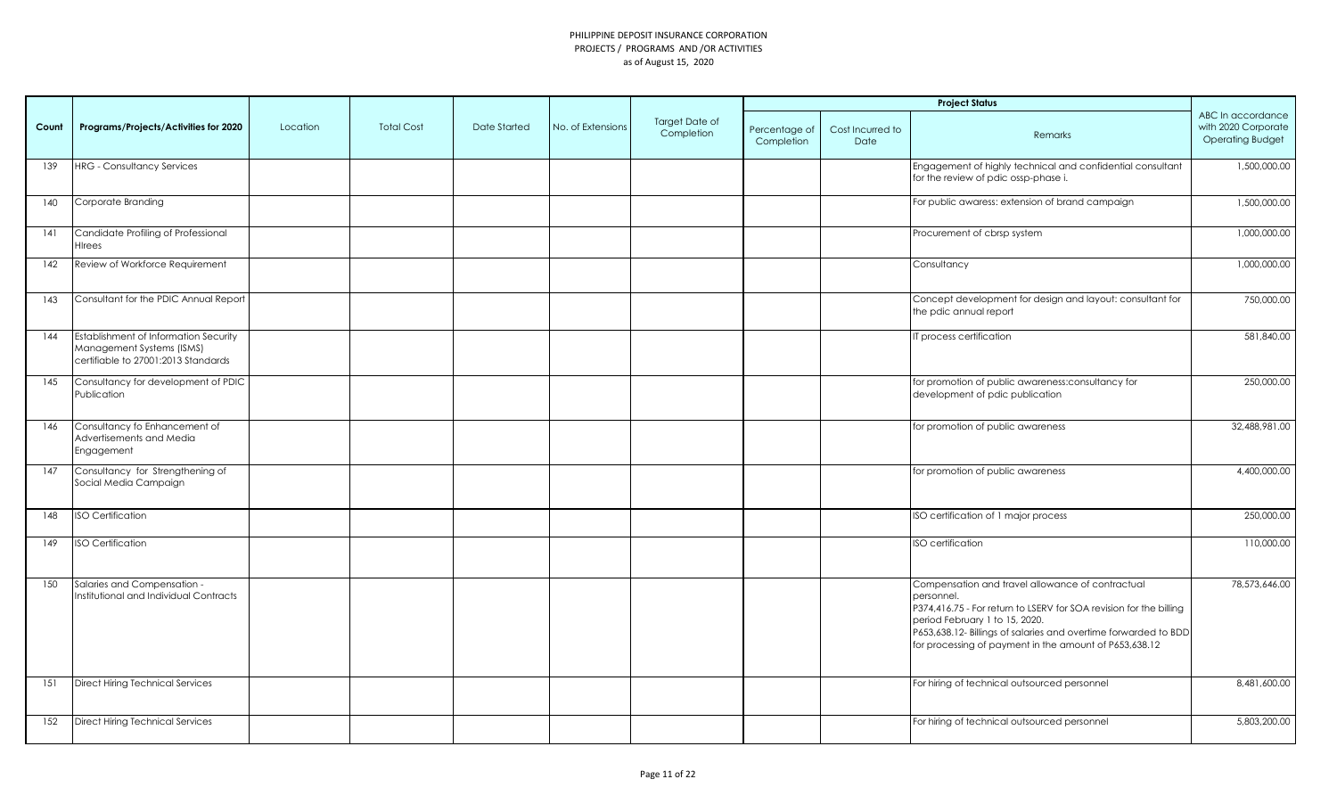|       |                                                                                                           |          |                   |              |                   |                                     |                             |                          | <b>Project Status</b>                                                                                                                                                                                                                                                                               |                                                                     |
|-------|-----------------------------------------------------------------------------------------------------------|----------|-------------------|--------------|-------------------|-------------------------------------|-----------------------------|--------------------------|-----------------------------------------------------------------------------------------------------------------------------------------------------------------------------------------------------------------------------------------------------------------------------------------------------|---------------------------------------------------------------------|
| Count | Programs/Projects/Activities for 2020                                                                     | Location | <b>Total Cost</b> | Date Started | No. of Extensions | <b>Target Date of</b><br>Completion | Percentage of<br>Completion | Cost Incurred to<br>Date | Remarks                                                                                                                                                                                                                                                                                             | ABC In accordance<br>with 2020 Corporate<br><b>Operating Budget</b> |
| 139   | <b>HRG</b> - Consultancy Services                                                                         |          |                   |              |                   |                                     |                             |                          | Engagement of highly technical and confidential consultant<br>for the review of pdic ossp-phase i.                                                                                                                                                                                                  | 1,500,000.00                                                        |
| 140   | Corporate Branding                                                                                        |          |                   |              |                   |                                     |                             |                          | For public awaress: extension of brand campaign                                                                                                                                                                                                                                                     | 1,500,000.00                                                        |
| 141   | Candidate Profiling of Professional<br>HIrees                                                             |          |                   |              |                   |                                     |                             |                          | Procurement of cbrsp system                                                                                                                                                                                                                                                                         | 1,000,000.00                                                        |
| 142   | Review of Workforce Requirement                                                                           |          |                   |              |                   |                                     |                             |                          | Consultancy                                                                                                                                                                                                                                                                                         | 1,000,000.00                                                        |
| 143   | Consultant for the PDIC Annual Report                                                                     |          |                   |              |                   |                                     |                             |                          | Concept development for design and layout: consultant for<br>the pdic annual report                                                                                                                                                                                                                 | 750,000.00                                                          |
| 144   | Establishment of Information Security<br>Management Systems (ISMS)<br>certifiable to 27001:2013 Standards |          |                   |              |                   |                                     |                             |                          | T process certification                                                                                                                                                                                                                                                                             | 581,840.00                                                          |
| 145   | Consultancy for development of PDIC<br>Publication                                                        |          |                   |              |                   |                                     |                             |                          | for promotion of public awareness:consultancy for<br>development of pdic publication                                                                                                                                                                                                                | 250,000.00                                                          |
| 146   | Consultancy fo Enhancement of<br>Advertisements and Media<br>Engagement                                   |          |                   |              |                   |                                     |                             |                          | for promotion of public awareness                                                                                                                                                                                                                                                                   | 32,488,981.00                                                       |
| 147   | Consultancy for Strengthening of<br>Social Media Campaign                                                 |          |                   |              |                   |                                     |                             |                          | for promotion of public awareness                                                                                                                                                                                                                                                                   | 4,400,000.00                                                        |
| 148   | <b>ISO Certification</b>                                                                                  |          |                   |              |                   |                                     |                             |                          | ISO certification of 1 major process                                                                                                                                                                                                                                                                | 250,000.00                                                          |
| 149   | <b>ISO Certification</b>                                                                                  |          |                   |              |                   |                                     |                             |                          | ISO certification                                                                                                                                                                                                                                                                                   | 110,000.00                                                          |
| 150   | Salaries and Compensation -<br>Institutional and Individual Contracts                                     |          |                   |              |                   |                                     |                             |                          | Compensation and travel allowance of contractual<br>personnel.<br>P374,416.75 - For return to LSERV for SOA revision for the billing<br>period February 1 to 15, 2020.<br>P653,638.12- Billings of salaries and overtime forwarded to BDD<br>for processing of payment in the amount of P653,638.12 | 78,573,646.00                                                       |
| 151   | Direct Hiring Technical Services                                                                          |          |                   |              |                   |                                     |                             |                          | For hiring of technical outsourced personnel                                                                                                                                                                                                                                                        | 8,481,600.00                                                        |
| 152   | Direct Hiring Technical Services                                                                          |          |                   |              |                   |                                     |                             |                          | For hiring of technical outsourced personnel                                                                                                                                                                                                                                                        | 5,803,200.00                                                        |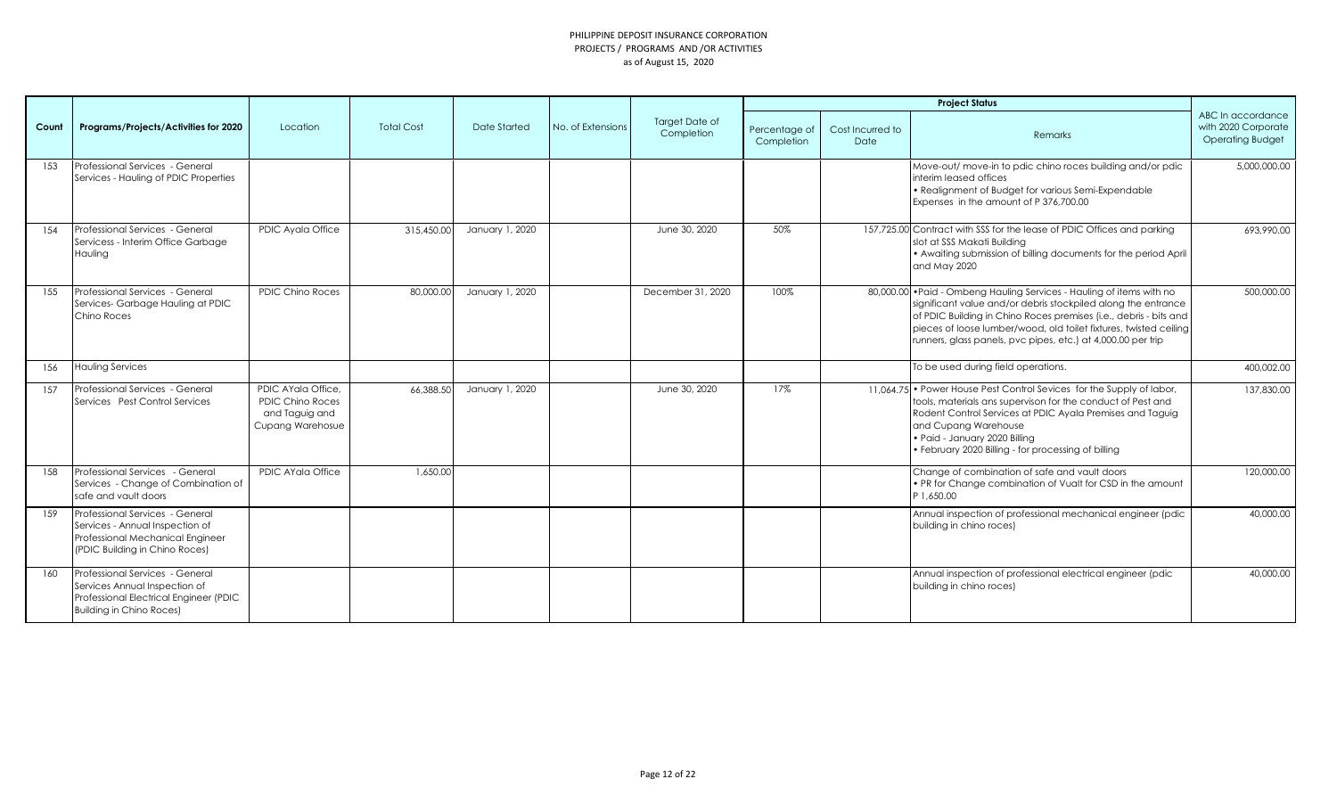|       |                                                                                                                                          |                                                                                     |                   |                 |                   |                                     |                             |                          | <b>Project Status</b>                                                                                                                                                                                                                                                                                                                            |                                                                     |
|-------|------------------------------------------------------------------------------------------------------------------------------------------|-------------------------------------------------------------------------------------|-------------------|-----------------|-------------------|-------------------------------------|-----------------------------|--------------------------|--------------------------------------------------------------------------------------------------------------------------------------------------------------------------------------------------------------------------------------------------------------------------------------------------------------------------------------------------|---------------------------------------------------------------------|
| Count | Programs/Projects/Activities for 2020                                                                                                    | Location                                                                            | <b>Total Cost</b> | Date Started    | No. of Extensions | <b>Target Date of</b><br>Completion | Percentage of<br>Completion | Cost Incurred to<br>Date | Remarks                                                                                                                                                                                                                                                                                                                                          | ABC In accordance<br>with 2020 Corporate<br><b>Operating Budget</b> |
| 1.53  | Professional Services - General<br>Services - Hauling of PDIC Properties                                                                 |                                                                                     |                   |                 |                   |                                     |                             |                          | Move-out/ move-in to pdic chino roces building and/or pdic<br>interim leased offices<br>• Realignment of Budget for various Semi-Expendable<br>Expenses in the amount of P 376,700.00                                                                                                                                                            | 5.000.000.00                                                        |
| 154   | Professional Services - General<br>Servicess - Interim Office Garbage<br>Hauling                                                         | PDIC Ayala Office                                                                   | 315,450.00        | January 1, 2020 |                   | June 30, 2020                       | 50%                         |                          | 157,725.00 Contract with SSS for the lease of PDIC Offices and parking<br>slot at SSS Makati Building<br>• Awaiting submission of billing documents for the period April<br>and May 2020                                                                                                                                                         | 693,990.00                                                          |
| 155   | Professional Services - General<br>Services-Garbage Hauling at PDIC<br>Chino Roces                                                       | <b>PDIC Chino Roces</b>                                                             | 80,000.00         | January 1, 2020 |                   | December 31, 2020                   | 100%                        |                          | 80,000.00 . Paid - Ombeng Hauling Services - Hauling of items with no<br>significant value and/or debris stockpiled along the entrance<br>of PDIC Building in Chino Roces premises (i.e., debris - bits and<br>pieces of loose lumber/wood, old toilet fixtures, twisted ceiling<br>runners, glass panels, pvc pipes, etc.) at 4,000.00 per trip | 500,000.00                                                          |
| 156   | <b>Hauling Services</b>                                                                                                                  |                                                                                     |                   |                 |                   |                                     |                             |                          | To be used during field operations.                                                                                                                                                                                                                                                                                                              | 400,002.00                                                          |
| 157   | Professional Services - General<br>Services Pest Control Services                                                                        | PDIC AYala Office.<br><b>PDIC Chino Roces</b><br>and Taguig and<br>Cupang Warehosue | 66,388.50         | January 1, 2020 |                   | June 30, 2020                       | 17%                         |                          | 11.064.75 • Power House Pest Control Sevices for the Supply of labor,<br>tools, materials ans supervison for the conduct of Pest and<br>Rodent Control Services at PDIC Ayala Premises and Taguig<br>and Cupang Warehouse<br>· Paid - January 2020 Billing<br>• February 2020 Billing - for processing of billing                                | 137,830.00                                                          |
| 158   | Professional Services - General<br>Services - Change of Combination of<br>safe and vault doors                                           | PDIC AYala Office                                                                   | 1,650.00          |                 |                   |                                     |                             |                          | Change of combination of safe and vault doors<br>. PR for Change combination of Vualt for CSD in the amount<br>P 1.650.00                                                                                                                                                                                                                        | 120,000.00                                                          |
| 159   | Professional Services - General<br>Services - Annual Inspection of<br>Professional Mechanical Engineer<br>(PDIC Building in Chino Roces) |                                                                                     |                   |                 |                   |                                     |                             |                          | Annual inspection of professional mechanical engineer (pdic<br>building in chino roces)                                                                                                                                                                                                                                                          | 40,000,00                                                           |
| 160   | Professional Services - General<br>Services Annual Inspection of<br>Professional Electrical Engineer (PDIC<br>Building in Chino Roces)   |                                                                                     |                   |                 |                   |                                     |                             |                          | Annual inspection of professional electrical engineer (pdic<br>building in chino roces)                                                                                                                                                                                                                                                          | 40,000,00                                                           |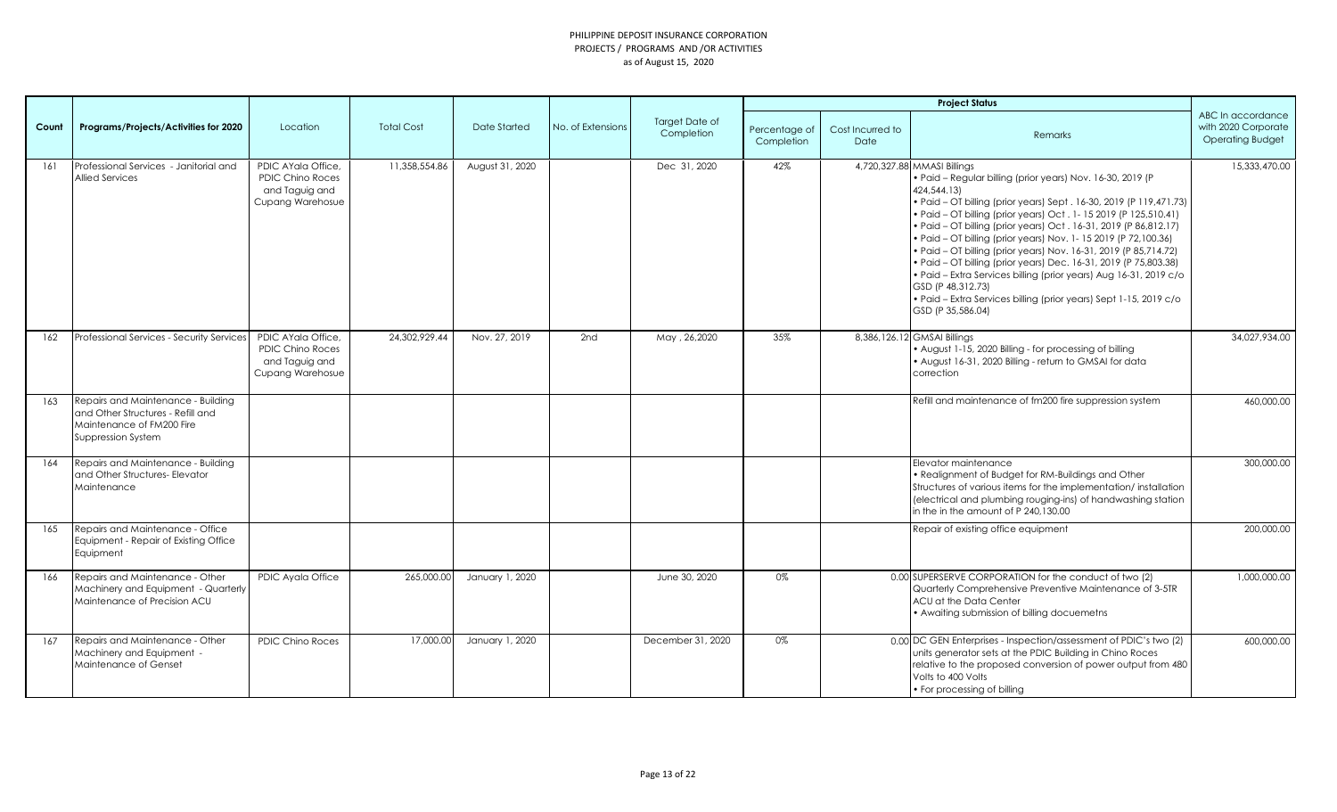| Count | Programs/Projects/Activities for 2020                                                                                      | Location                                                                            | <b>Total Cost</b> | Date Started    | No. of Extensions | Target Date of<br>Completion | Percentage of<br>Completion | Cost Incurred to<br>Date | Remarks                                                                                                                                                                                                                                                                                                                                                                                                                                                                                                                                                                                                                                                                                                             | ABC In accordance<br>with 2020 Corporate<br><b>Operating Budget</b> |
|-------|----------------------------------------------------------------------------------------------------------------------------|-------------------------------------------------------------------------------------|-------------------|-----------------|-------------------|------------------------------|-----------------------------|--------------------------|---------------------------------------------------------------------------------------------------------------------------------------------------------------------------------------------------------------------------------------------------------------------------------------------------------------------------------------------------------------------------------------------------------------------------------------------------------------------------------------------------------------------------------------------------------------------------------------------------------------------------------------------------------------------------------------------------------------------|---------------------------------------------------------------------|
| 161   | Professional Services - Janitorial and<br><b>Allied Services</b>                                                           | PDIC AYala Office.<br><b>PDIC Chino Roces</b><br>and Taguig and<br>Cupang Warehosue | 11,358,554.86     | August 31, 2020 |                   | Dec 31, 2020                 | 42%                         |                          | 4,720,327.88 MMASI Billings<br>· Paid - Regular billing (prior years) Nov. 16-30, 2019 (P<br>424,544,13)<br>• Paid - OT billing (prior years) Sept. 16-30, 2019 (P 119,471.73)<br>• Paid - OT billing (prior years) Oct. 1-15 2019 (P 125,510.41)<br>• Paid - OT billing (prior years) Oct. 16-31, 2019 (P 86,812.17)<br>• Paid - OT billing (prior years) Nov. 1-15 2019 (P 72,100.36)<br>• Paid - OT billing (prior years) Nov. 16-31, 2019 (P 85,714.72)<br>• Paid - OT billing (prior years) Dec. 16-31, 2019 (P 75,803.38)<br>· Paid - Extra Services billing (prior years) Aug 16-31, 2019 c/o<br>GSD (P 48,312.73)<br>· Paid - Extra Services billing (prior years) Sept 1-15, 2019 c/o<br>GSD (P 35,586.04) | 15.333.470.00                                                       |
| 162   | Professional Services - Security Services                                                                                  | PDIC AYala Office,<br><b>PDIC Chino Roces</b><br>and Taguig and<br>Cupang Warehosue | 24,302,929.44     | Nov. 27, 2019   | 2nd               | May, 26,2020                 | 35%                         |                          | 8,386,126.12 GMSAI Billings<br>• August 1-15, 2020 Billing - for processing of billing<br>• August 16-31, 2020 Billing - return to GMSAI for data<br>correction                                                                                                                                                                                                                                                                                                                                                                                                                                                                                                                                                     | 34,027,934.00                                                       |
| 163   | Repairs and Maintenance - Building<br>and Other Structures - Refill and<br>Maintenance of FM200 Fire<br>Suppression System |                                                                                     |                   |                 |                   |                              |                             |                          | Refill and maintenance of fm200 fire suppression system                                                                                                                                                                                                                                                                                                                                                                                                                                                                                                                                                                                                                                                             | 460,000.00                                                          |
| 164   | Repairs and Maintenance - Building<br>and Other Structures- Elevator<br>Maintenance                                        |                                                                                     |                   |                 |                   |                              |                             |                          | Elevator maintenance<br>• Realignment of Budget for RM-Buildings and Other<br>Structures of various items for the implementation/ installation<br>(electrical and plumbing rouging-ins) of handwashing station<br>in the in the amount of P 240.130.00                                                                                                                                                                                                                                                                                                                                                                                                                                                              | 300,000.00                                                          |
| 165   | Repairs and Maintenance - Office<br>Equipment - Repair of Existing Office<br>Equipment                                     |                                                                                     |                   |                 |                   |                              |                             |                          | Repair of existing office equipment                                                                                                                                                                                                                                                                                                                                                                                                                                                                                                                                                                                                                                                                                 | 200,000.00                                                          |
| 166   | Repairs and Maintenance - Other<br>Machinery and Equipment - Quarterly<br>Maintenance of Precision ACU                     | PDIC Ayala Office                                                                   | 265,000.00        | January 1, 2020 |                   | June 30, 2020                | 0%                          |                          | 0.00 SUPERSERVE CORPORATION for the conduct of two (2)<br>Quarterly Comprehensive Preventive Maintenance of 3-5TR<br>ACU at the Data Center<br>• Awaiting submission of billing docuemetns                                                                                                                                                                                                                                                                                                                                                                                                                                                                                                                          | 1,000,000.00                                                        |
| 167   | Repairs and Maintenance - Other<br>Machinery and Equipment -<br>Maintenance of Genset                                      | <b>PDIC Chino Roces</b>                                                             | 17,000.00         | January 1, 2020 |                   | December 31, 2020            | 0%                          |                          | 0.00 DC GEN Enterprises - Inspection/assessment of PDIC's two (2)<br>units generator sets at the PDIC Building in Chino Roces<br>relative to the proposed conversion of power output from 480<br>Volts to 400 Volts<br>• For processing of billing                                                                                                                                                                                                                                                                                                                                                                                                                                                                  | 600,000.00                                                          |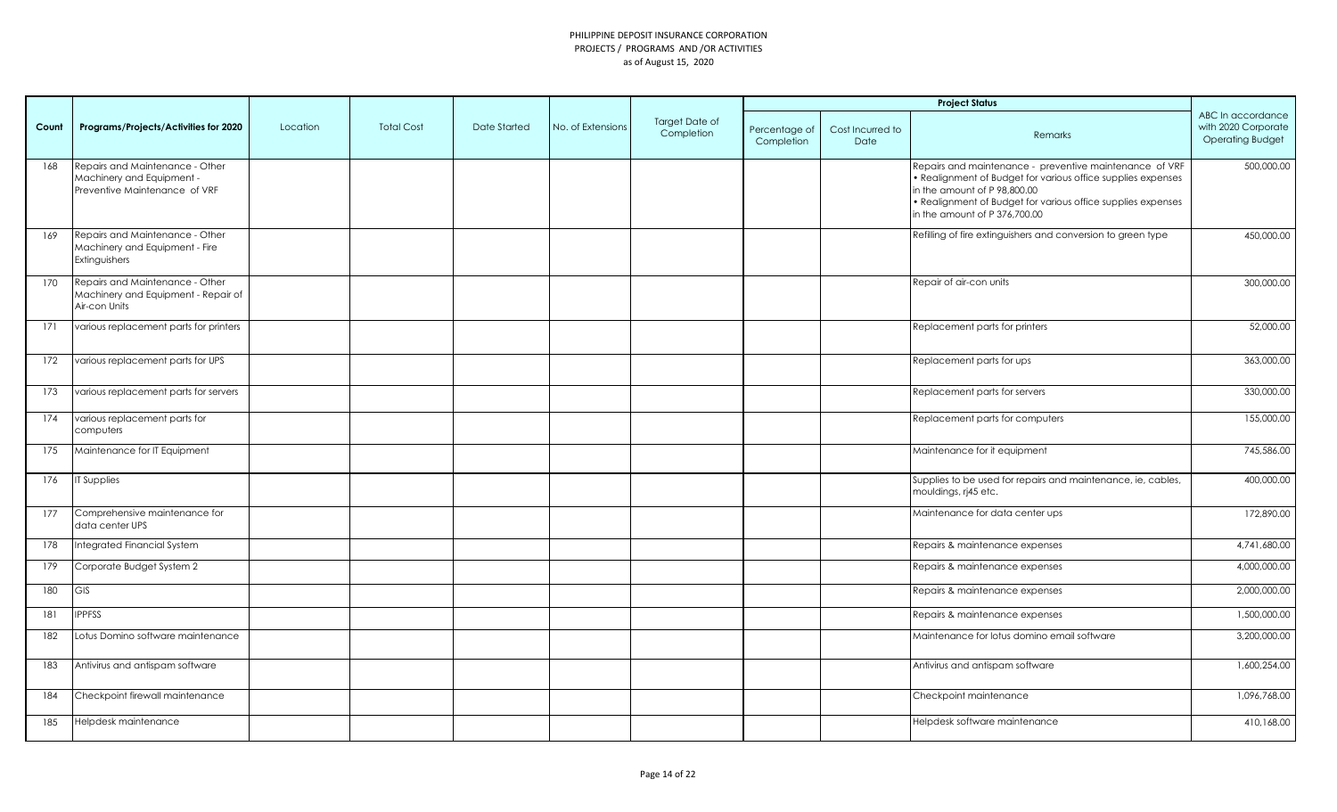| Count | Programs/Projects/Activities for 2020                                                         | Location | <b>Total Cost</b> | Date Started | No. of Extensions | Target Date of<br>Completion | Percentage of<br>Completion | Cost Incurred to<br>Date | Remarks                                                                                                                                                                                                                                                  | ABC In accordance<br>with 2020 Corporate<br><b>Operating Budget</b> |
|-------|-----------------------------------------------------------------------------------------------|----------|-------------------|--------------|-------------------|------------------------------|-----------------------------|--------------------------|----------------------------------------------------------------------------------------------------------------------------------------------------------------------------------------------------------------------------------------------------------|---------------------------------------------------------------------|
| 168   | Repairs and Maintenance - Other<br>Machinery and Equipment -<br>Preventive Maintenance of VRF |          |                   |              |                   |                              |                             |                          | Repairs and maintenance - preventive maintenance of VRF<br>• Realignment of Budget for various office supplies expenses<br>in the amount of P 98,800.00<br>• Realignment of Budget for various office supplies expenses<br>in the amount of P 376,700.00 | 500,000.00                                                          |
| 169   | Repairs and Maintenance - Other<br>Machinery and Equipment - Fire<br>Extinguishers            |          |                   |              |                   |                              |                             |                          | Refilling of fire extinguishers and conversion to green type                                                                                                                                                                                             | 450,000.00                                                          |
| 170   | Repairs and Maintenance - Other<br>Machinery and Equipment - Repair of<br>Air-con Units       |          |                   |              |                   |                              |                             |                          | Repair of air-con units                                                                                                                                                                                                                                  | 300,000.00                                                          |
| 171   | various replacement parts for printers                                                        |          |                   |              |                   |                              |                             |                          | Replacement parts for printers                                                                                                                                                                                                                           | 52,000.00                                                           |
| 172   | various replacement parts for UPS                                                             |          |                   |              |                   |                              |                             |                          | Replacement parts for ups                                                                                                                                                                                                                                | 363,000.00                                                          |
| 173   | various replacement parts for servers                                                         |          |                   |              |                   |                              |                             |                          | Replacement parts for servers                                                                                                                                                                                                                            | 330,000.00                                                          |
| 174   | various replacement parts for<br>computers                                                    |          |                   |              |                   |                              |                             |                          | Replacement parts for computers                                                                                                                                                                                                                          | 155,000.00                                                          |
| 175   | Maintenance for IT Equipment                                                                  |          |                   |              |                   |                              |                             |                          | Maintenance for it equipment                                                                                                                                                                                                                             | 745,586.00                                                          |
| 176   | IT Supplies                                                                                   |          |                   |              |                   |                              |                             |                          | Supplies to be used for repairs and maintenance, ie, cables,<br>mouldings, rj45 etc.                                                                                                                                                                     | 400,000.00                                                          |
| 177   | Comprehensive maintenance for<br>data center UPS                                              |          |                   |              |                   |                              |                             |                          | Maintenance for data center ups                                                                                                                                                                                                                          | 172,890.00                                                          |
| 178   | Integrated Financial System                                                                   |          |                   |              |                   |                              |                             |                          | Repairs & maintenance expenses                                                                                                                                                                                                                           | 4,741,680.00                                                        |
| 179   | Corporate Budget System 2                                                                     |          |                   |              |                   |                              |                             |                          | Repairs & maintenance expenses                                                                                                                                                                                                                           | 4,000,000.00                                                        |
| 180   | GIS                                                                                           |          |                   |              |                   |                              |                             |                          | Repairs & maintenance expenses                                                                                                                                                                                                                           | 2,000,000.00                                                        |
| 181   | <b>IPPFSS</b>                                                                                 |          |                   |              |                   |                              |                             |                          | Repairs & maintenance expenses                                                                                                                                                                                                                           | 1,500,000.00                                                        |
| 182   | Lotus Domino software maintenance                                                             |          |                   |              |                   |                              |                             |                          | Maintenance for lotus domino email software                                                                                                                                                                                                              | 3,200,000.00                                                        |
| 183   | Antivirus and antispam software                                                               |          |                   |              |                   |                              |                             |                          | Antivirus and antispam software                                                                                                                                                                                                                          | 1,600,254.00                                                        |
| 184   | Checkpoint firewall maintenance                                                               |          |                   |              |                   |                              |                             |                          | Checkpoint maintenance                                                                                                                                                                                                                                   | 1,096,768.00                                                        |
| 185   | Helpdesk maintenance                                                                          |          |                   |              |                   |                              |                             |                          | Helpdesk software maintenance                                                                                                                                                                                                                            | 410,168.00                                                          |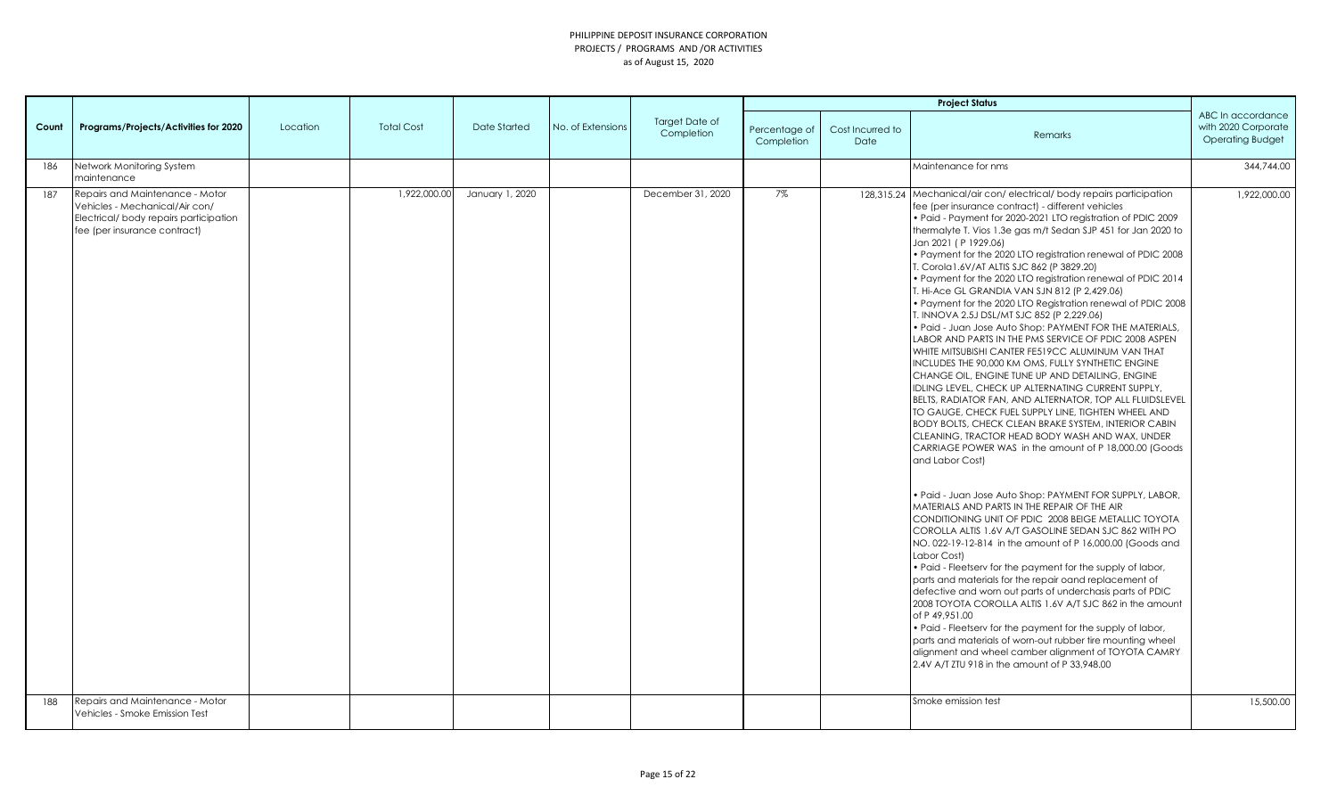|       |                                                                                                                                             |          |                   |                 |                   |                                     | <b>Project Status</b>       |                          |                                                                                                                                                                                                                                                                                                                                                                                                                                                                                                                                                                                                                                                                                                                                                                                                                                                                                                                                                                                                                                                                                                                                                                                                                                                                                                                                                                                                                                                                                                                                                                                                                                                                                                                                                                                                                                                                                                                                                                                                                                                                                                         |                                                                     |
|-------|---------------------------------------------------------------------------------------------------------------------------------------------|----------|-------------------|-----------------|-------------------|-------------------------------------|-----------------------------|--------------------------|---------------------------------------------------------------------------------------------------------------------------------------------------------------------------------------------------------------------------------------------------------------------------------------------------------------------------------------------------------------------------------------------------------------------------------------------------------------------------------------------------------------------------------------------------------------------------------------------------------------------------------------------------------------------------------------------------------------------------------------------------------------------------------------------------------------------------------------------------------------------------------------------------------------------------------------------------------------------------------------------------------------------------------------------------------------------------------------------------------------------------------------------------------------------------------------------------------------------------------------------------------------------------------------------------------------------------------------------------------------------------------------------------------------------------------------------------------------------------------------------------------------------------------------------------------------------------------------------------------------------------------------------------------------------------------------------------------------------------------------------------------------------------------------------------------------------------------------------------------------------------------------------------------------------------------------------------------------------------------------------------------------------------------------------------------------------------------------------------------|---------------------------------------------------------------------|
| Count | Programs/Projects/Activities for 2020                                                                                                       | Location | <b>Total Cost</b> | Date Started    | No. of Extensions | <b>Target Date of</b><br>Completion | Percentage of<br>Completion | Cost Incurred to<br>Date | <b>Remarks</b>                                                                                                                                                                                                                                                                                                                                                                                                                                                                                                                                                                                                                                                                                                                                                                                                                                                                                                                                                                                                                                                                                                                                                                                                                                                                                                                                                                                                                                                                                                                                                                                                                                                                                                                                                                                                                                                                                                                                                                                                                                                                                          | ABC In accordance<br>with 2020 Corporate<br><b>Operating Budget</b> |
| 186   | Network Monitoring System<br>maintenance                                                                                                    |          |                   |                 |                   |                                     |                             |                          | Maintenance for nms                                                                                                                                                                                                                                                                                                                                                                                                                                                                                                                                                                                                                                                                                                                                                                                                                                                                                                                                                                                                                                                                                                                                                                                                                                                                                                                                                                                                                                                                                                                                                                                                                                                                                                                                                                                                                                                                                                                                                                                                                                                                                     | 344,744.00                                                          |
| 187   | Repairs and Maintenance - Motor<br>Vehicles - Mechanical/Air con/<br>Electrical/ body repairs participation<br>fee (per insurance contract) |          | 1,922,000.00      | January 1, 2020 |                   | December 31, 2020                   | 7%                          |                          | 128,315.24 Mechanical/air con/electrical/body repairs participation<br>fee (per insurance contract) - different vehicles<br>. Paid - Payment for 2020-2021 LTO registration of PDIC 2009<br>thermalyte T. Vios 1.3e gas m/t Sedan SJP 451 for Jan 2020 to<br>Jan 2021 (P 1929.06)<br>. Payment for the 2020 LTO registration renewal of PDIC 2008<br>T. Corola 1.6V/AT ALTIS SJC 862 (P 3829.20)<br>• Payment for the 2020 LTO registration renewal of PDIC 2014<br>T. Hi-Ace GL GRANDIA VAN SJN 812 (P 2,429.06)<br>. Payment for the 2020 LTO Registration renewal of PDIC 2008<br>T. INNOVA 2.5J DSL/MT SJC 852 (P 2,229.06)<br>• Paid - Juan Jose Auto Shop: PAYMENT FOR THE MATERIALS,<br>LABOR AND PARTS IN THE PMS SERVICE OF PDIC 2008 ASPEN<br>WHITE MITSUBISHI CANTER FE519CC ALUMINUM VAN THAT<br>INCLUDES THE 90,000 KM OMS, FULLY SYNTHETIC ENGINE<br>CHANGE OIL, ENGINE TUNE UP AND DETAILING, ENGINE<br>IDLING LEVEL, CHECK UP ALTERNATING CURRENT SUPPLY,<br>BELTS, RADIATOR FAN, AND ALTERNATOR, TOP ALL FLUIDSLEVEL<br>TO GAUGE, CHECK FUEL SUPPLY LINE, TIGHTEN WHEEL AND<br>BODY BOLTS, CHECK CLEAN BRAKE SYSTEM, INTERIOR CABIN<br>CLEANING, TRACTOR HEAD BODY WASH AND WAX, UNDER<br>CARRIAGE POWER WAS in the amount of P 18,000.00 (Goods<br>and Labor Cost)<br>· Paid - Juan Jose Auto Shop: PAYMENT FOR SUPPLY, LABOR,<br>MATERIALS AND PARTS IN THE REPAIR OF THE AIR<br>CONDITIONING UNIT OF PDIC 2008 BEIGE METALLIC TOYOTA<br>COROLLA ALTIS 1.6V A/T GASOLINE SEDAN SJC 862 WITH PO<br>NO. 022-19-12-814 in the amount of P 16,000.00 (Goods and<br>Labor Cost)<br>. Paid - Fleetserv for the payment for the supply of labor,<br>parts and materials for the repair oand replacement of<br>defective and worn out parts of underchasis parts of PDIC<br>2008 TOYOTA COROLLA ALTIS 1.6V A/T SJC 862 in the amount<br>of P 49.951.00<br>. Paid - Fleetserv for the payment for the supply of labor,<br>parts and materials of worn-out rubber tire mounting wheel<br>alignment and wheel camber alignment of TOYOTA CAMRY<br>2.4V A/T ZTU 918 in the amount of P 33.948.00 | 1,922,000.00                                                        |
| 188   | Repairs and Maintenance - Motor<br>Vehicles - Smoke Emission Test                                                                           |          |                   |                 |                   |                                     |                             |                          | Smoke emission test                                                                                                                                                                                                                                                                                                                                                                                                                                                                                                                                                                                                                                                                                                                                                                                                                                                                                                                                                                                                                                                                                                                                                                                                                                                                                                                                                                                                                                                                                                                                                                                                                                                                                                                                                                                                                                                                                                                                                                                                                                                                                     | 15,500.00                                                           |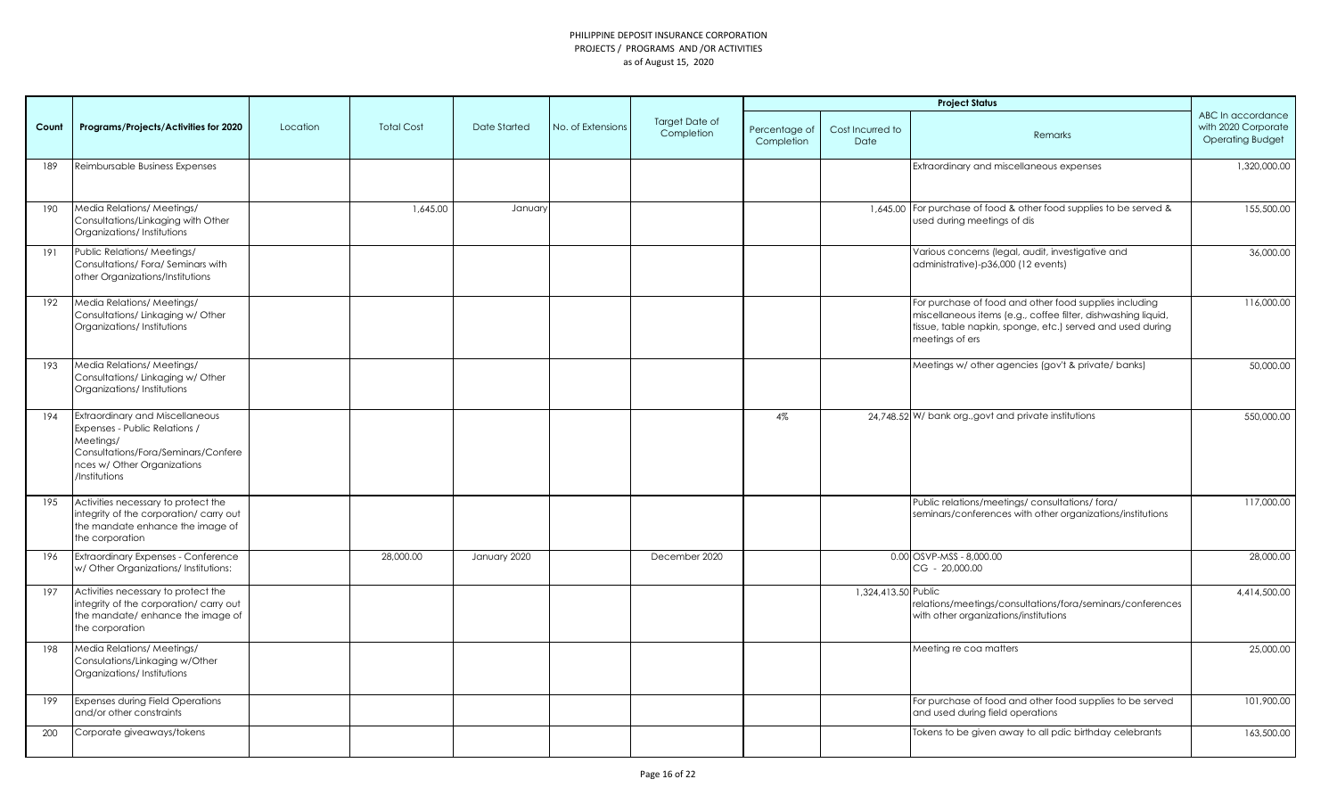|       |                                                                                                                                                                      |          |                   |                     |                   |                              |                             |                          | <b>Project Status</b>                                                                                                                                                                                    |                                                                     |
|-------|----------------------------------------------------------------------------------------------------------------------------------------------------------------------|----------|-------------------|---------------------|-------------------|------------------------------|-----------------------------|--------------------------|----------------------------------------------------------------------------------------------------------------------------------------------------------------------------------------------------------|---------------------------------------------------------------------|
| Count | Programs/Projects/Activities for 2020                                                                                                                                | Location | <b>Total Cost</b> | <b>Date Started</b> | No. of Extensions | Target Date of<br>Completion | Percentage of<br>Completion | Cost Incurred to<br>Date | <b>Remarks</b>                                                                                                                                                                                           | ABC In accordance<br>with 2020 Corporate<br><b>Operating Budget</b> |
| 189   | Reimbursable Business Expenses                                                                                                                                       |          |                   |                     |                   |                              |                             |                          | Extraordinary and miscellaneous expenses                                                                                                                                                                 | 1,320,000.00                                                        |
| 190   | Media Relations/ Meetings/<br>Consultations/Linkaging with Other<br>Organizations/Institutions                                                                       |          | 1,645.00          | January             |                   |                              |                             |                          | 1,645.00 For purchase of food & other food supplies to be served &<br>used during meetings of dis                                                                                                        | 155,500.00                                                          |
| 191   | Public Relations/ Meetings/<br>Consultations/Fora/Seminars with<br>other Organizations/Institutions                                                                  |          |                   |                     |                   |                              |                             |                          | Various concerns (legal, audit, investigative and<br>administrative)-p36,000 (12 events)                                                                                                                 | 36,000.00                                                           |
| 192   | Media Relations/ Meetings/<br>Consultations/ Linkaging w/ Other<br>Organizations/Institutions                                                                        |          |                   |                     |                   |                              |                             |                          | For purchase of food and other food supplies including<br>miscellaneous items (e.g., coffee filter, dishwashing liquid,<br>tissue, table napkin, sponge, etc.) served and used during<br>meetings of ers | 116,000.00                                                          |
| 193   | Media Relations/ Meetings/<br>Consultations/ Linkaging w/ Other<br>Organizations/Institutions                                                                        |          |                   |                     |                   |                              |                             |                          | Meetings w/ other agencies (gov't & private/ banks)                                                                                                                                                      | 50,000.00                                                           |
| 194   | Extraordinary and Miscellaneous<br>Expenses - Public Relations /<br>Meetings/<br>Consultations/Fora/Seminars/Confere<br>nces w/ Other Organizations<br>/Institutions |          |                   |                     |                   |                              | 4%                          |                          | 24,748.52 W/ bank org., govt and private institutions                                                                                                                                                    | 550,000.00                                                          |
| 195   | Activities necessary to protect the<br>integrity of the corporation/ carry out<br>the mandate enhance the image of<br>the corporation                                |          |                   |                     |                   |                              |                             |                          | Public relations/meetings/consultations/fora/<br>seminars/conferences with other organizations/institutions                                                                                              | 117,000.00                                                          |
| 196   | Extraordinary Expenses - Conference<br>w/ Other Organizations/ Institutions:                                                                                         |          | 28,000.00         | January 2020        |                   | December 2020                |                             |                          | 0.00 OSVP-MSS - 8,000.00<br>CG - 20,000.00                                                                                                                                                               | 28,000.00                                                           |
| 197   | Activities necessary to protect the<br>integrity of the corporation/ carry out<br>the mandate/enhance the image of<br>the corporation                                |          |                   |                     |                   |                              |                             | 1,324,413.50 Public      | relations/meetings/consultations/fora/seminars/conferences<br>with other organizations/institutions                                                                                                      | 4,414,500.00                                                        |
| 198   | Media Relations/ Meetings/<br>Consulations/Linkaging w/Other<br>Organizations/Institutions                                                                           |          |                   |                     |                   |                              |                             |                          | Meeting re coa matters                                                                                                                                                                                   | 25,000.00                                                           |
| 199   | <b>Expenses during Field Operations</b><br>and/or other constraints                                                                                                  |          |                   |                     |                   |                              |                             |                          | For purchase of food and other food supplies to be served<br>and used during field operations                                                                                                            | 101,900.00                                                          |
| 200   | Corporate giveaways/tokens                                                                                                                                           |          |                   |                     |                   |                              |                             |                          | Tokens to be given away to all pdic birthday celebrants                                                                                                                                                  | 163,500.00                                                          |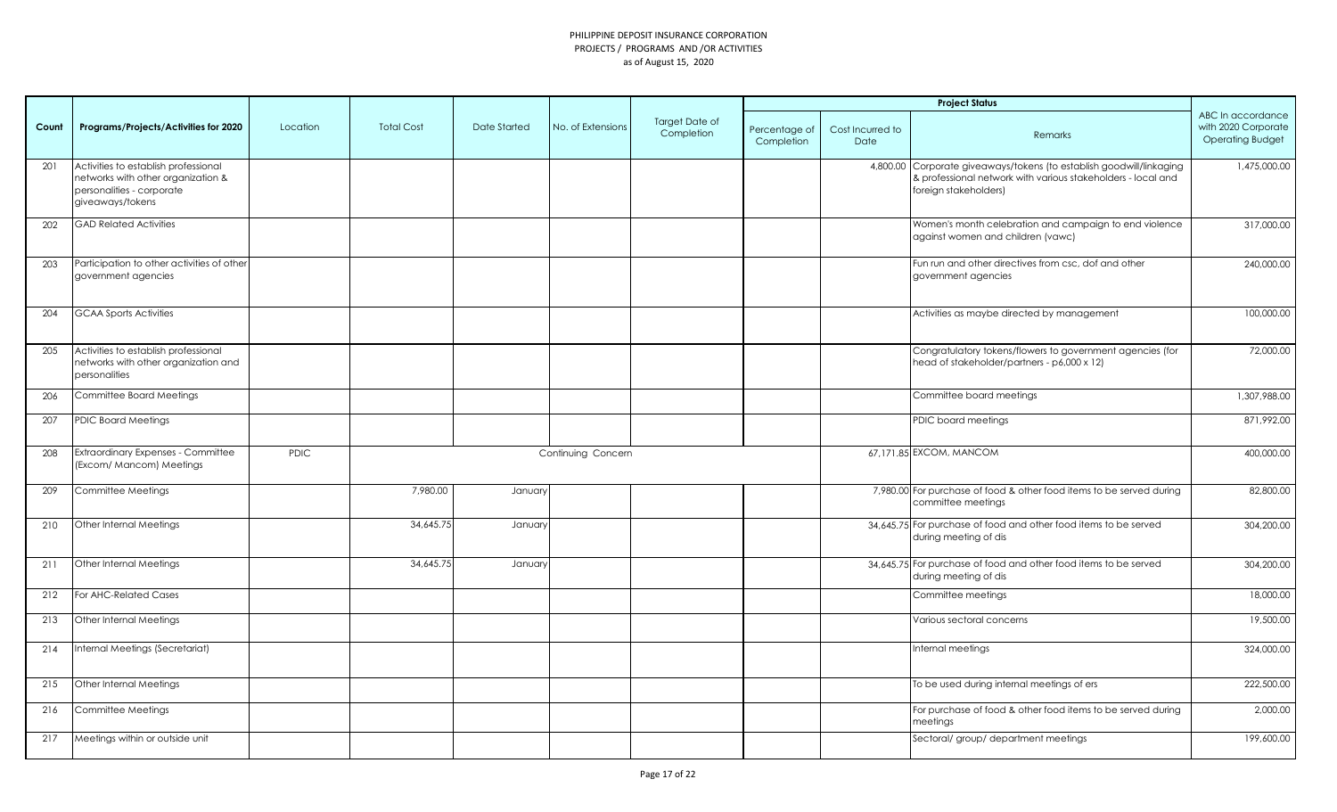|       |                                                                                                                             |             |                   |              |                    |                                     |                             |                          | <b>Project Status</b>                                                                                                                                         |                                                                     |
|-------|-----------------------------------------------------------------------------------------------------------------------------|-------------|-------------------|--------------|--------------------|-------------------------------------|-----------------------------|--------------------------|---------------------------------------------------------------------------------------------------------------------------------------------------------------|---------------------------------------------------------------------|
| Count | Programs/Projects/Activities for 2020                                                                                       | Location    | <b>Total Cost</b> | Date Started | No. of Extensions  | <b>Target Date of</b><br>Completion | Percentage of<br>Completion | Cost Incurred to<br>Date | Remarks                                                                                                                                                       | ABC In accordance<br>with 2020 Corporate<br><b>Operating Budget</b> |
| 201   | Activities to establish professional<br>networks with other organization &<br>personalities - corporate<br>giveaways/tokens |             |                   |              |                    |                                     |                             |                          | 4,800.00 Corporate giveaways/tokens (to establish goodwill/linkaging<br>& professional network with various stakeholders - local and<br>foreign stakeholders) | 1,475,000.00                                                        |
| 202   | <b>GAD Related Activities</b>                                                                                               |             |                   |              |                    |                                     |                             |                          | Women's month celebration and campaign to end violence<br>against women and children (vawc)                                                                   | 317,000.00                                                          |
| 203   | Participation to other activities of other<br>government agencies                                                           |             |                   |              |                    |                                     |                             |                          | Fun run and other directives from csc, dof and other<br>government agencies                                                                                   | 240,000.00                                                          |
| 204   | <b>GCAA Sports Activities</b>                                                                                               |             |                   |              |                    |                                     |                             |                          | Activities as maybe directed by management                                                                                                                    | 100,000.00                                                          |
| 205   | Activities to establish professional<br>networks with other organization and<br>personalities                               |             |                   |              |                    |                                     |                             |                          | Congratulatory tokens/flowers to government agencies (for<br>head of stakeholder/partners - p6,000 x 12)                                                      | 72,000.00                                                           |
| 206   | Committee Board Meetings                                                                                                    |             |                   |              |                    |                                     |                             |                          | Committee board meetings                                                                                                                                      | 1,307,988.00                                                        |
| 207   | <b>PDIC Board Meetings</b>                                                                                                  |             |                   |              |                    |                                     |                             |                          | PDIC board meetings                                                                                                                                           | 871,992.00                                                          |
| 208   | <b>Extraordinary Expenses - Committee</b><br>(Excom/ Mancom) Meetings                                                       | <b>PDIC</b> |                   |              | Continuing Concern |                                     |                             |                          | 67,171.85 EXCOM, MANCOM                                                                                                                                       | 400,000.00                                                          |
| 209   | Committee Meetings                                                                                                          |             | 7,980.00          | January      |                    |                                     |                             |                          | 7,980.00 For purchase of food & other food items to be served during<br>committee meetings                                                                    | 82,800.00                                                           |
| 210   | Other Internal Meetings                                                                                                     |             | 34,645.75         | January      |                    |                                     |                             |                          | 34,645.75 For purchase of food and other food items to be served<br>during meeting of dis                                                                     | 304,200.00                                                          |
| 211   | Other Internal Meetings                                                                                                     |             | 34,645.75         | January      |                    |                                     |                             |                          | 34,645.75 For purchase of food and other food items to be served<br>during meeting of dis                                                                     | 304,200.00                                                          |
| 212   | For AHC-Related Cases                                                                                                       |             |                   |              |                    |                                     |                             |                          | Committee meetings                                                                                                                                            | 18,000.00                                                           |
| 213   | Other Internal Meetings                                                                                                     |             |                   |              |                    |                                     |                             |                          | Various sectoral concerns                                                                                                                                     | 19,500.00                                                           |
| 214   | Internal Meetings (Secretariat)                                                                                             |             |                   |              |                    |                                     |                             |                          | Internal meetings                                                                                                                                             | 324,000.00                                                          |
| 215   | Other Internal Meetings                                                                                                     |             |                   |              |                    |                                     |                             |                          | To be used during internal meetings of ers                                                                                                                    | 222,500.00                                                          |
| 216   | Committee Meetings                                                                                                          |             |                   |              |                    |                                     |                             |                          | For purchase of food & other food items to be served during<br>meetings                                                                                       | 2,000.00                                                            |
| 217   | Meetings within or outside unit                                                                                             |             |                   |              |                    |                                     |                             |                          | Sectoral/ group/ department meetings                                                                                                                          | 199,600.00                                                          |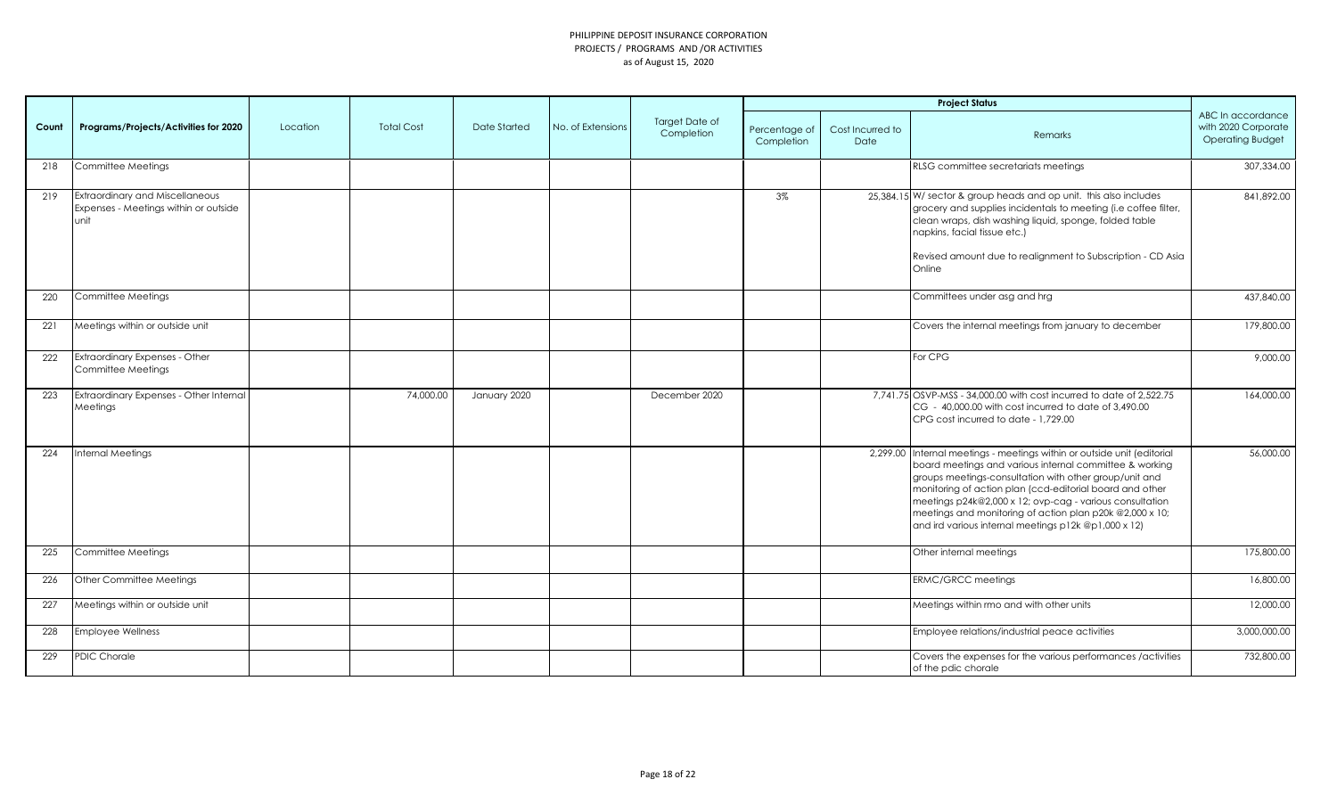|       |                                                                                  |          |                   |              |                   |                                     |                             |                          | <b>Project Status</b>                                                                                                                                                                                                                                                                                                                                                                                                                    |                                                                     |
|-------|----------------------------------------------------------------------------------|----------|-------------------|--------------|-------------------|-------------------------------------|-----------------------------|--------------------------|------------------------------------------------------------------------------------------------------------------------------------------------------------------------------------------------------------------------------------------------------------------------------------------------------------------------------------------------------------------------------------------------------------------------------------------|---------------------------------------------------------------------|
| Count | Programs/Projects/Activities for 2020                                            | Location | <b>Total Cost</b> | Date Started | No. of Extensions | <b>Target Date of</b><br>Completion | Percentage of<br>Completion | Cost Incurred to<br>Date | <b>Remarks</b>                                                                                                                                                                                                                                                                                                                                                                                                                           | ABC In accordance<br>with 2020 Corporate<br><b>Operating Budget</b> |
| 218   | Committee Meetings                                                               |          |                   |              |                   |                                     |                             |                          | RLSG committee secretariats meetings                                                                                                                                                                                                                                                                                                                                                                                                     | 307,334.00                                                          |
| 219   | Extraordinary and Miscellaneous<br>Expenses - Meetings within or outside<br>unit |          |                   |              |                   |                                     | 3%                          |                          | 25,384.15 W/ sector & group heads and op unit. this also includes<br>grocery and supplies incidentals to meeting (i.e coffee filter,<br>clean wraps, dish washing liquid, sponge, folded table<br>napkins, facial tissue etc.)<br>Revised amount due to realignment to Subscription - CD Asia<br>Online                                                                                                                                  | 841,892.00                                                          |
| 220   | Committee Meetings                                                               |          |                   |              |                   |                                     |                             |                          | Committees under asg and hrg                                                                                                                                                                                                                                                                                                                                                                                                             | 437,840.00                                                          |
| 221   | Meetings within or outside unit                                                  |          |                   |              |                   |                                     |                             |                          | Covers the internal meetings from january to december                                                                                                                                                                                                                                                                                                                                                                                    | 179,800.00                                                          |
| 222   | Extraordinary Expenses - Other<br>Committee Meetings                             |          |                   |              |                   |                                     |                             |                          | For CPG                                                                                                                                                                                                                                                                                                                                                                                                                                  | 9,000.00                                                            |
| 223   | Extraordinary Expenses - Other Internal<br>Meetings                              |          | 74,000.00         | January 2020 |                   | December 2020                       |                             |                          | 7,741.75 OSVP-MSS - 34,000.00 with cost incurred to date of 2,522.75<br>CG - 40,000.00 with cost incurred to date of 3,490.00<br>CPG cost incurred to date - 1,729.00                                                                                                                                                                                                                                                                    | 164,000.00                                                          |
| 224   | Internal Meetings                                                                |          |                   |              |                   |                                     |                             |                          | 2,299.00 Internal meetings - meetings within or outside unit (editorial<br>board meetings and various internal committee & working<br>groups meetings-consultation with other group/unit and<br>monitoring of action plan (ccd-editorial board and other<br>meetings p24k@2,000 x 12; ovp-cag - various consultation<br>meetings and monitoring of action plan p20k @2,000 x 10;<br>and ird various internal meetings p12k @p1,000 x 12) | 56,000.00                                                           |
| 225   | Committee Meetings                                                               |          |                   |              |                   |                                     |                             |                          | Other internal meetings                                                                                                                                                                                                                                                                                                                                                                                                                  | 175,800.00                                                          |
| 226   | Other Committee Meetings                                                         |          |                   |              |                   |                                     |                             |                          | <b>ERMC/GRCC</b> meetings                                                                                                                                                                                                                                                                                                                                                                                                                | 16,800.00                                                           |
| 227   | Meetings within or outside unit                                                  |          |                   |              |                   |                                     |                             |                          | Meetings within rmo and with other units                                                                                                                                                                                                                                                                                                                                                                                                 | 12,000.00                                                           |
| 228   | <b>Employee Wellness</b>                                                         |          |                   |              |                   |                                     |                             |                          | Employee relations/industrial peace activities                                                                                                                                                                                                                                                                                                                                                                                           | 3,000,000.00                                                        |
| 229   | <b>PDIC Chorale</b>                                                              |          |                   |              |                   |                                     |                             |                          | Covers the expenses for the various performances /activities<br>of the pdic chorale                                                                                                                                                                                                                                                                                                                                                      | 732,800.00                                                          |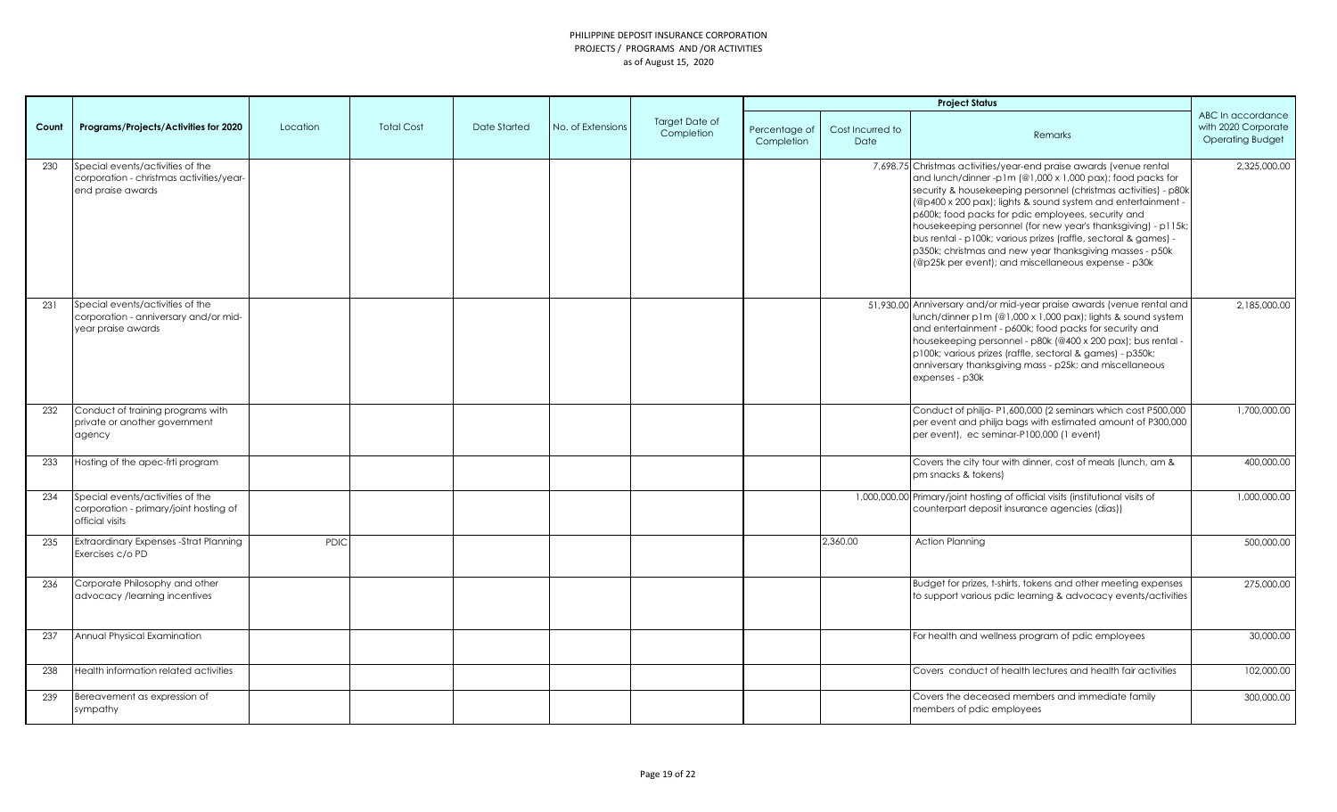|       |                                                                                                   |             |                   |              |                   |                                     |                             |                          | <b>Project Status</b>                                                                                                                                                                                                                                                                                                                                                                                                                                                                                                                                                           |                                                                     |
|-------|---------------------------------------------------------------------------------------------------|-------------|-------------------|--------------|-------------------|-------------------------------------|-----------------------------|--------------------------|---------------------------------------------------------------------------------------------------------------------------------------------------------------------------------------------------------------------------------------------------------------------------------------------------------------------------------------------------------------------------------------------------------------------------------------------------------------------------------------------------------------------------------------------------------------------------------|---------------------------------------------------------------------|
| Count | Programs/Projects/Activities for 2020                                                             | Location    | <b>Total Cost</b> | Date Started | No. of Extensions | <b>Target Date of</b><br>Completion | Percentage of<br>Completion | Cost Incurred to<br>Date | Remarks                                                                                                                                                                                                                                                                                                                                                                                                                                                                                                                                                                         | ABC In accordance<br>with 2020 Corporate<br><b>Operating Budget</b> |
| 230   | Special events/activities of the<br>corporation - christmas activities/year-<br>end praise awards |             |                   |              |                   |                                     |                             |                          | 7,698.75 Christmas activities/year-end praise awards (venue rental<br>and lunch/dinner-p1m (@1,000 x 1,000 pax); food packs for<br>security & housekeeping personnel (christmas activities) - p80k<br>(@p400 x 200 pax); lights & sound system and entertainment -<br>p600k; food packs for pdic employees, security and<br>housekeeping personnel (for new year's thanksgiving) - p115k;<br>bus rental - p100k; various prizes (raffle, sectoral & games) -<br>p350k; christmas and new year thanksgiving masses - p50k<br>(@p25k per event); and miscellaneous expense - p30k | 2,325,000.00                                                        |
| 231   | Special events/activities of the<br>corporation - anniversary and/or mid-<br>year praise awards   |             |                   |              |                   |                                     |                             |                          | 51,930.00 Anniversary and/or mid-year praise awards (venue rental and<br>lunch/dinner p1m (@1,000 x 1,000 pax); lights & sound system<br>and entertainment - p600k; food packs for security and<br>housekeeping personnel - p80k (@400 x 200 pax); bus rental -<br>p100k; various prizes (raffle, sectoral & games) - p350k;<br>anniversary thanksgiving mass - p25k; and miscellaneous<br>expenses - p30k                                                                                                                                                                      | 2,185,000.00                                                        |
| 232   | Conduct of training programs with<br>private or another government<br>agency                      |             |                   |              |                   |                                     |                             |                          | Conduct of philja-P1,600,000 (2 seminars which cost P500,000<br>per event and philja bags with estimated amount of P300,000<br>per event), ec seminar-P100,000 (1 event)                                                                                                                                                                                                                                                                                                                                                                                                        | 1,700,000.00                                                        |
| 233   | Hosting of the apec-frti program                                                                  |             |                   |              |                   |                                     |                             |                          | Covers the city tour with dinner, cost of meals (lunch, am &<br>pm snacks & tokens)                                                                                                                                                                                                                                                                                                                                                                                                                                                                                             | 400,000.00                                                          |
| 234   | Special events/activities of the<br>corporation - primary/joint hosting of<br>official visits     |             |                   |              |                   |                                     |                             |                          | 1,000,000.00 Primary/joint hosting of official visits (institutional visits of<br>counterpart deposit insurance agencies (dias))                                                                                                                                                                                                                                                                                                                                                                                                                                                | 1,000,000.00                                                        |
| 235   | Extraordinary Expenses - Strat Planning<br>Exercises c/o PD                                       | <b>PDIC</b> |                   |              |                   |                                     |                             | 2.360.00                 | <b>Action Planning</b>                                                                                                                                                                                                                                                                                                                                                                                                                                                                                                                                                          | 500,000.00                                                          |
| 236   | Corporate Philosophy and other<br>advocacy /learning incentives                                   |             |                   |              |                   |                                     |                             |                          | Budget for prizes, t-shirts, tokens and other meeting expenses<br>to support various pdic learning & advocacy events/activities                                                                                                                                                                                                                                                                                                                                                                                                                                                 | 275,000.00                                                          |
| 237   | Annual Physical Examination                                                                       |             |                   |              |                   |                                     |                             |                          | For health and wellness program of pdic employees                                                                                                                                                                                                                                                                                                                                                                                                                                                                                                                               | 30,000.00                                                           |
| 238   | Health information related activities                                                             |             |                   |              |                   |                                     |                             |                          | Covers conduct of health lectures and health fair activities                                                                                                                                                                                                                                                                                                                                                                                                                                                                                                                    | 102,000.00                                                          |
| 239   | Bereavement as expression of<br>sympathy                                                          |             |                   |              |                   |                                     |                             |                          | Covers the deceased members and immediate family<br>members of pdic employees                                                                                                                                                                                                                                                                                                                                                                                                                                                                                                   | 300,000.00                                                          |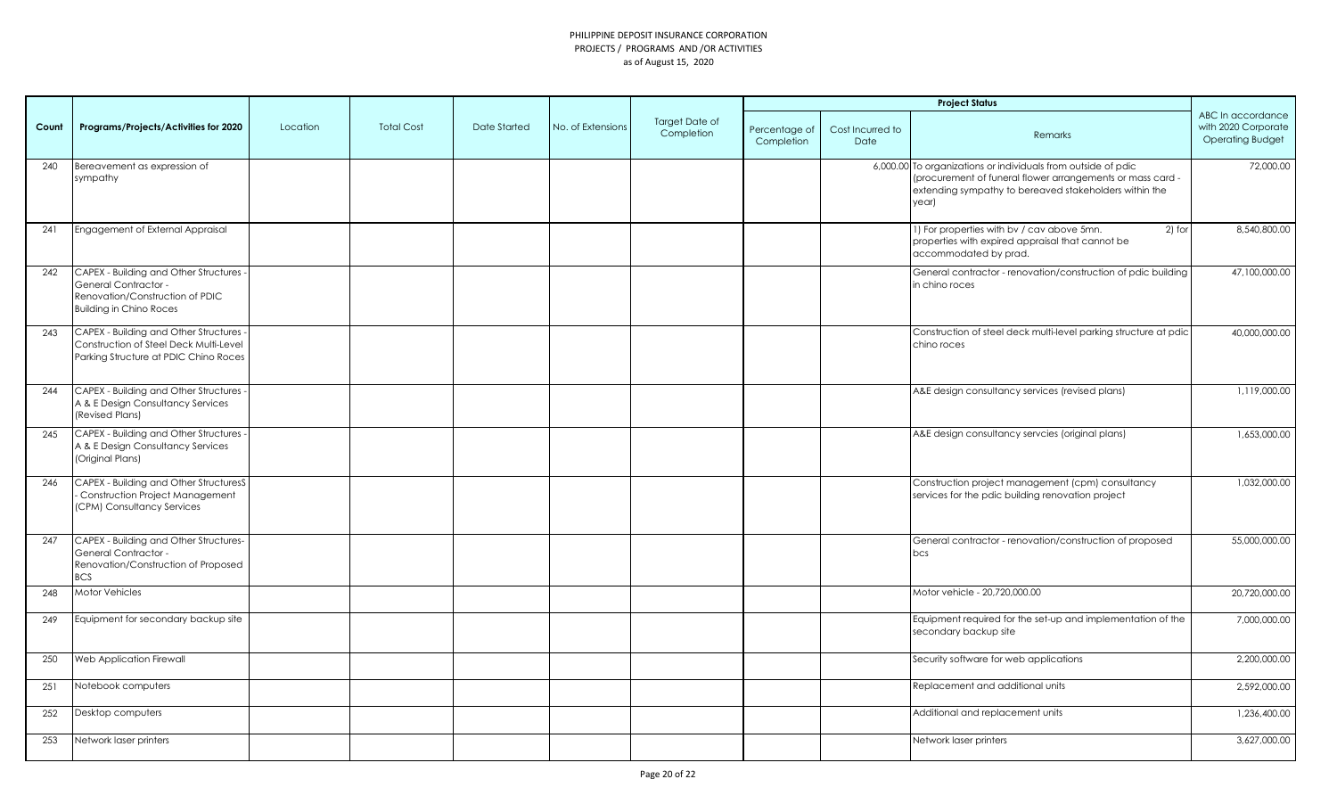|       |                                                                                                                                      |          |                   |              |                   |                                     | <b>Project Status</b>       |                          |                                                                                                                                                                                                |                                                                     |
|-------|--------------------------------------------------------------------------------------------------------------------------------------|----------|-------------------|--------------|-------------------|-------------------------------------|-----------------------------|--------------------------|------------------------------------------------------------------------------------------------------------------------------------------------------------------------------------------------|---------------------------------------------------------------------|
| Count | Programs/Projects/Activities for 2020                                                                                                | Location | <b>Total Cost</b> | Date Started | No. of Extensions | <b>Target Date of</b><br>Completion | Percentage of<br>Completion | Cost Incurred to<br>Date | Remarks                                                                                                                                                                                        | ABC In accordance<br>with 2020 Corporate<br><b>Operating Budget</b> |
| 240   | Bereavement as expression of<br>sympathy                                                                                             |          |                   |              |                   |                                     |                             |                          | 6,000.00 To organizations or individuals from outside of pdic<br>(procurement of funeral flower arrangements or mass card -<br>extending sympathy to bereaved stakeholders within the<br>year) | 72,000.00                                                           |
| 241   | Engagement of External Appraisal                                                                                                     |          |                   |              |                   |                                     |                             |                          | 1) For properties with by / cav above 5mn.<br>2) for<br>properties with expired appraisal that cannot be<br>accommodated by prad.                                                              | 8,540,800.00                                                        |
| 242   | CAPEX - Building and Other Structures -<br>General Contractor -<br>Renovation/Construction of PDIC<br><b>Building in Chino Roces</b> |          |                   |              |                   |                                     |                             |                          | General contractor - renovation/construction of pdic building<br>in chino roces                                                                                                                | 47,100,000.00                                                       |
| 243   | CAPEX - Building and Other Structures -<br>Construction of Steel Deck Multi-Level<br>Parking Structure at PDIC Chino Roces           |          |                   |              |                   |                                     |                             |                          | Construction of steel deck multi-level parking structure at pdic<br>chino roces                                                                                                                | 40,000,000.00                                                       |
| 244   | CAPEX - Building and Other Structures -<br>A & E Design Consultancy Services<br>(Revised Plans)                                      |          |                   |              |                   |                                     |                             |                          | A&E design consultancy services (revised plans)                                                                                                                                                | 1,119,000.00                                                        |
| 245   | CAPEX - Building and Other Structures -<br>A & E Design Consultancy Services<br>(Original Plans)                                     |          |                   |              |                   |                                     |                             |                          | A&E design consultancy servcies (original plans)                                                                                                                                               | 1,653,000.00                                                        |
| 246   | CAPEX - Building and Other StructuresS<br>Construction Project Management<br>(CPM) Consultancy Services                              |          |                   |              |                   |                                     |                             |                          | Construction project management (cpm) consultancy<br>services for the pdic building renovation project                                                                                         | 1,032,000.00                                                        |
| 247   | CAPEX - Building and Other Structures-<br>General Contractor -<br>Renovation/Construction of Proposed<br><b>BCS</b>                  |          |                   |              |                   |                                     |                             |                          | General contractor - renovation/construction of proposed<br>bcs                                                                                                                                | 55,000,000.00                                                       |
| 248   | Motor Vehicles                                                                                                                       |          |                   |              |                   |                                     |                             |                          | Motor vehicle - 20,720,000.00                                                                                                                                                                  | 20,720,000.00                                                       |
| 249   | Equipment for secondary backup site                                                                                                  |          |                   |              |                   |                                     |                             |                          | Equipment required for the set-up and implementation of the<br>secondary backup site                                                                                                           | 7,000,000.00                                                        |
| 250   | Web Application Firewall                                                                                                             |          |                   |              |                   |                                     |                             |                          | Security software for web applications                                                                                                                                                         | 2,200,000.00                                                        |
| 251   | Notebook computers                                                                                                                   |          |                   |              |                   |                                     |                             |                          | Replacement and additional units                                                                                                                                                               | 2,592,000.00                                                        |
| 252   | Desktop computers                                                                                                                    |          |                   |              |                   |                                     |                             |                          | Additional and replacement units                                                                                                                                                               | 1,236,400.00                                                        |
| 253   | Network laser printers                                                                                                               |          |                   |              |                   |                                     |                             |                          | Network laser printers                                                                                                                                                                         | 3,627,000.00                                                        |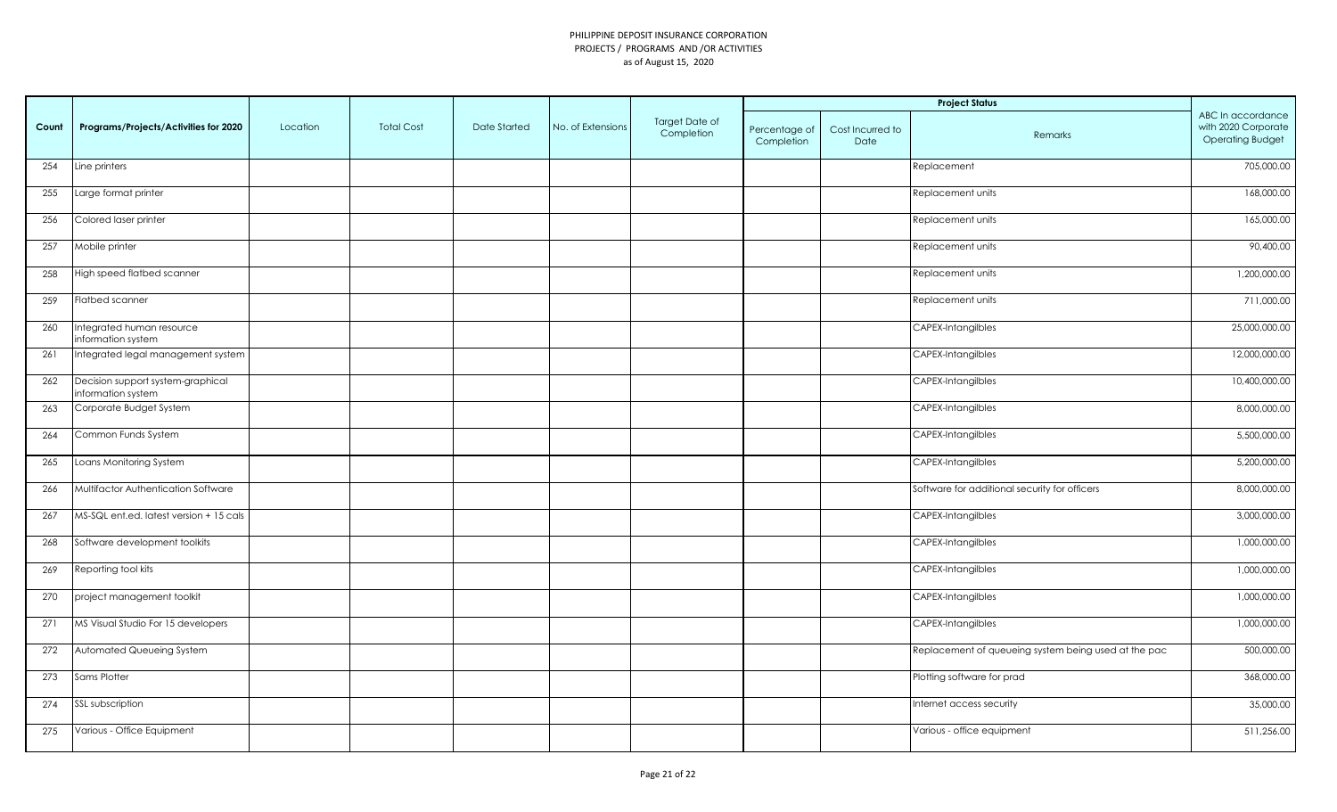|       | <b>Project Status</b>                                   |          |                   |              |                   |                              |                             |                          |                                                      |                                                                     |
|-------|---------------------------------------------------------|----------|-------------------|--------------|-------------------|------------------------------|-----------------------------|--------------------------|------------------------------------------------------|---------------------------------------------------------------------|
| Count | Programs/Projects/Activities for 2020                   | Location | <b>Total Cost</b> | Date Started | No. of Extensions | Target Date of<br>Completion | Percentage of<br>Completion | Cost Incurred to<br>Date | Remarks                                              | ABC In accordance<br>with 2020 Corporate<br><b>Operating Budget</b> |
| 254   | Line printers                                           |          |                   |              |                   |                              |                             |                          | Replacement                                          | 705,000.00                                                          |
| 255   | Large format printer                                    |          |                   |              |                   |                              |                             |                          | Replacement units                                    | 168,000.00                                                          |
| 256   | Colored laser printer                                   |          |                   |              |                   |                              |                             |                          | Replacement units                                    | 165,000.00                                                          |
| 257   | Mobile printer                                          |          |                   |              |                   |                              |                             |                          | Replacement units                                    | 90,400.00                                                           |
| 258   | High speed flatbed scanner                              |          |                   |              |                   |                              |                             |                          | Replacement units                                    | 1,200,000.00                                                        |
| 259   | Flatbed scanner                                         |          |                   |              |                   |                              |                             |                          | Replacement units                                    | 711,000.00                                                          |
| 260   | Integrated human resource<br>information system         |          |                   |              |                   |                              |                             |                          | CAPEX-Intangilbles                                   | 25,000,000.00                                                       |
| 261   | Integrated legal management system                      |          |                   |              |                   |                              |                             |                          | CAPEX-Intangilbles                                   | 12,000,000.00                                                       |
| 262   | Decision support system-graphical<br>information system |          |                   |              |                   |                              |                             |                          | CAPEX-Intangilbles                                   | 10,400,000.00                                                       |
| 263   | Corporate Budget System                                 |          |                   |              |                   |                              |                             |                          | CAPEX-Intangilbles                                   | 8,000,000.00                                                        |
| 264   | Common Funds System                                     |          |                   |              |                   |                              |                             |                          | CAPEX-Intangilbles                                   | 5,500,000.00                                                        |
| 265   | Loans Monitoring System                                 |          |                   |              |                   |                              |                             |                          | CAPEX-Intangilbles                                   | 5,200,000.00                                                        |
| 266   | Multifactor Authentication Software                     |          |                   |              |                   |                              |                             |                          | Software for additional security for officers        | 8,000,000.00                                                        |
| 267   | MS-SQL ent.ed. latest version + 15 cals                 |          |                   |              |                   |                              |                             |                          | CAPEX-Intangilbles                                   | 3,000,000.00                                                        |
| 268   | Software development toolkits                           |          |                   |              |                   |                              |                             |                          | CAPEX-Intangilbles                                   | 1,000,000.00                                                        |
| 269   | Reporting tool kits                                     |          |                   |              |                   |                              |                             |                          | CAPEX-Intangilbles                                   | 1,000,000.00                                                        |
| 270   | project management toolkit                              |          |                   |              |                   |                              |                             |                          | CAPEX-Intangilbles                                   | 1,000,000.00                                                        |
| 271   | MS Visual Studio For 15 developers                      |          |                   |              |                   |                              |                             |                          | CAPEX-Intangilbles                                   | 1,000,000.00                                                        |
| 272   | Automated Queueing System                               |          |                   |              |                   |                              |                             |                          | Replacement of queueing system being used at the pac | 500,000.00                                                          |
| 273   | Sams Plotter                                            |          |                   |              |                   |                              |                             |                          | Plotting software for prad                           | 368,000.00                                                          |
| 274   | SSL subscription                                        |          |                   |              |                   |                              |                             |                          | Internet access security                             | 35,000.00                                                           |
| 275   | Various - Office Equipment                              |          |                   |              |                   |                              |                             |                          | Various - office equipment                           | 511,256.00                                                          |